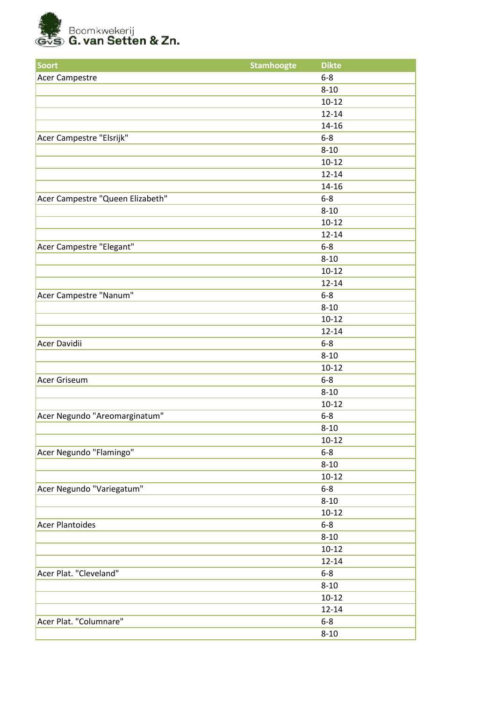

| <b>Soort</b>                     | <b>Stamhoogte</b> | <b>Dikte</b> |
|----------------------------------|-------------------|--------------|
| <b>Acer Campestre</b>            |                   | $6 - 8$      |
|                                  |                   | $8 - 10$     |
|                                  |                   | $10 - 12$    |
|                                  |                   | $12 - 14$    |
|                                  |                   | $14 - 16$    |
| Acer Campestre "Elsrijk"         |                   | $6 - 8$      |
|                                  |                   | $8 - 10$     |
|                                  |                   | $10 - 12$    |
|                                  |                   | $12 - 14$    |
|                                  |                   | $14 - 16$    |
| Acer Campestre "Queen Elizabeth" |                   | $6-8$        |
|                                  |                   | $8 - 10$     |
|                                  |                   | $10 - 12$    |
|                                  |                   | $12 - 14$    |
| Acer Campestre "Elegant"         |                   | $6 - 8$      |
|                                  |                   | $8 - 10$     |
|                                  |                   | $10 - 12$    |
|                                  |                   | $12 - 14$    |
| Acer Campestre "Nanum"           |                   | $6 - 8$      |
|                                  |                   | $8 - 10$     |
|                                  |                   | $10 - 12$    |
|                                  |                   | $12 - 14$    |
| Acer Davidii                     |                   | $6-8$        |
|                                  |                   | $8 - 10$     |
|                                  |                   | $10 - 12$    |
| Acer Griseum                     |                   | $6 - 8$      |
|                                  |                   | $8 - 10$     |
|                                  |                   | $10 - 12$    |
| Acer Negundo "Areomarginatum"    |                   | $6 - 8$      |
|                                  |                   | $8 - 10$     |
|                                  |                   | $10 - 12$    |
| Acer Negundo "Flamingo"          |                   | $6 - 8$      |
|                                  |                   | $8 - 10$     |
|                                  |                   | $10 - 12$    |
| Acer Negundo "Variegatum"        |                   | $6 - 8$      |
|                                  |                   | $8 - 10$     |
|                                  |                   | $10 - 12$    |
| <b>Acer Plantoides</b>           |                   | $6 - 8$      |
|                                  |                   | $8 - 10$     |
|                                  |                   | $10 - 12$    |
|                                  |                   | $12 - 14$    |
| Acer Plat. "Cleveland"           |                   | $6-8$        |
|                                  |                   | $8 - 10$     |
|                                  |                   | $10 - 12$    |
|                                  |                   | $12 - 14$    |
| Acer Plat. "Columnare"           |                   | $6 - 8$      |
|                                  |                   | $8 - 10$     |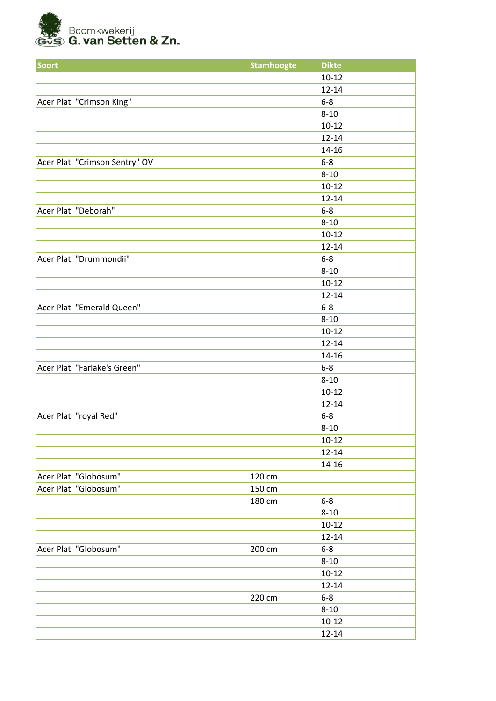

| <b>Soort</b>                   | <b>Stamhoogte</b> | <b>Dikte</b> |
|--------------------------------|-------------------|--------------|
|                                |                   | $10 - 12$    |
|                                |                   | $12 - 14$    |
| Acer Plat. "Crimson King"      |                   | $6-8$        |
|                                |                   | $8 - 10$     |
|                                |                   | $10 - 12$    |
|                                |                   | $12 - 14$    |
|                                |                   | $14 - 16$    |
| Acer Plat. "Crimson Sentry" OV |                   | $6 - 8$      |
|                                |                   | $8 - 10$     |
|                                |                   | $10 - 12$    |
|                                |                   | $12 - 14$    |
| Acer Plat. "Deborah"           |                   | $6-8$        |
|                                |                   | $8 - 10$     |
|                                |                   | $10 - 12$    |
|                                |                   | $12 - 14$    |
| Acer Plat. "Drummondii"        |                   | $6 - 8$      |
|                                |                   | $8 - 10$     |
|                                |                   | $10 - 12$    |
|                                |                   | $12 - 14$    |
| Acer Plat. "Emerald Queen"     |                   | $6-8$        |
|                                |                   | $8 - 10$     |
|                                |                   | $10 - 12$    |
|                                |                   | $12 - 14$    |
|                                |                   | 14-16        |
| Acer Plat. "Farlake's Green"   |                   | $6 - 8$      |
|                                |                   | $8 - 10$     |
|                                |                   | $10 - 12$    |
|                                |                   | $12 - 14$    |
| Acer Plat. "royal Red"         |                   | $6-8$        |
|                                |                   | $8 - 10$     |
|                                |                   | $10 - 12$    |
|                                |                   | $12 - 14$    |
|                                |                   | $14 - 16$    |
| Acer Plat. "Globosum"          | 120 cm            |              |
| Acer Plat. "Globosum"          | 150 cm            |              |
|                                | 180 cm            | $6 - 8$      |
|                                |                   | $8 - 10$     |
|                                |                   | $10 - 12$    |
|                                |                   | $12 - 14$    |
| Acer Plat. "Globosum"          | 200 cm            | $6 - 8$      |
|                                |                   | $8 - 10$     |
|                                |                   | $10 - 12$    |
|                                |                   | $12 - 14$    |
|                                | 220 cm            | $6 - 8$      |
|                                |                   | $8 - 10$     |
|                                |                   | $10 - 12$    |
|                                |                   | $12 - 14$    |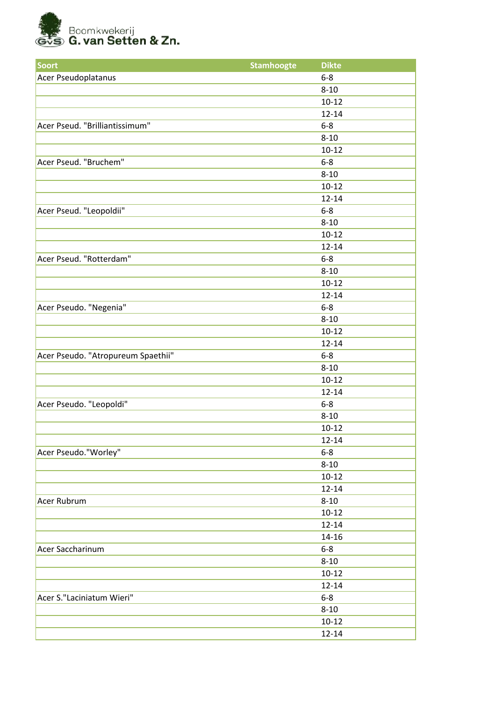

| <b>Soort</b>                       | <b>Stamhoogte</b> | <b>Dikte</b> |
|------------------------------------|-------------------|--------------|
| Acer Pseudoplatanus                |                   | $6 - 8$      |
|                                    |                   | $8 - 10$     |
|                                    |                   | $10 - 12$    |
|                                    |                   | $12 - 14$    |
| Acer Pseud. "Brilliantissimum"     |                   | $6 - 8$      |
|                                    |                   | $8 - 10$     |
|                                    |                   | $10 - 12$    |
| Acer Pseud. "Bruchem"              |                   | $6 - 8$      |
|                                    |                   | $8 - 10$     |
|                                    |                   | $10 - 12$    |
|                                    |                   | $12 - 14$    |
| Acer Pseud. "Leopoldii"            |                   | $6-8$        |
|                                    |                   | $8 - 10$     |
|                                    |                   | $10 - 12$    |
|                                    |                   | $12 - 14$    |
| Acer Pseud. "Rotterdam"            |                   | $6 - 8$      |
|                                    |                   | $8 - 10$     |
|                                    |                   | $10 - 12$    |
|                                    |                   | $12 - 14$    |
| Acer Pseudo. "Negenia"             |                   | $6 - 8$      |
|                                    |                   | $8 - 10$     |
|                                    |                   | $10 - 12$    |
|                                    |                   | $12 - 14$    |
| Acer Pseudo. "Atropureum Spaethii" |                   | $6 - 8$      |
|                                    |                   | $8 - 10$     |
|                                    |                   | $10 - 12$    |
|                                    |                   | $12 - 14$    |
| Acer Pseudo. "Leopoldi"            |                   | $6 - 8$      |
|                                    |                   | $8 - 10$     |
|                                    |                   | $10 - 12$    |
|                                    |                   | $12 - 14$    |
| Acer Pseudo."Worley"               |                   | $6 - 8$      |
|                                    |                   | $8 - 10$     |
|                                    |                   | $10 - 12$    |
|                                    |                   | $12 - 14$    |
| Acer Rubrum                        |                   | $8 - 10$     |
|                                    |                   | $10 - 12$    |
|                                    |                   | $12 - 14$    |
|                                    |                   | $14 - 16$    |
| Acer Saccharinum                   |                   | $6 - 8$      |
|                                    |                   | $8 - 10$     |
|                                    |                   | $10 - 12$    |
|                                    |                   | $12 - 14$    |
| Acer S."Laciniatum Wieri"          |                   | $6 - 8$      |
|                                    |                   | $8 - 10$     |
|                                    |                   | $10 - 12$    |
|                                    |                   | $12 - 14$    |
|                                    |                   |              |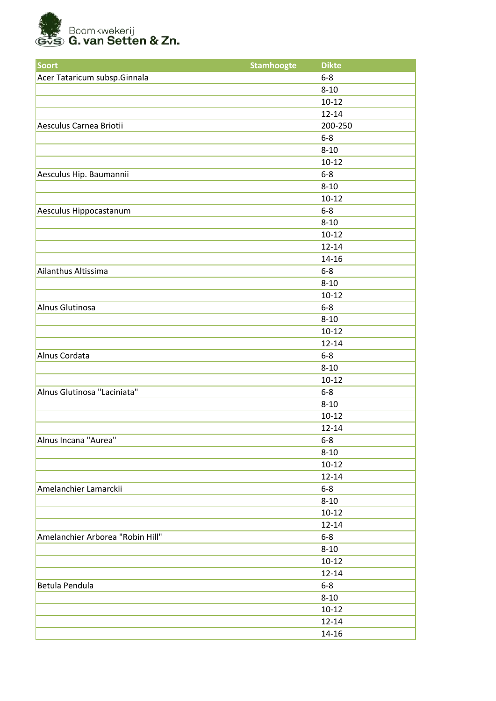

| $6 - 8$<br>$8 - 10$<br>$10 - 12$<br>$12 - 14$<br>200-250<br>$6 - 8$<br>$8 - 10$<br>$10 - 12$<br>$6 - 8$<br>$8 - 10$<br>$10 - 12$<br>$6 - 8$<br>$8 - 10$<br>$10 - 12$<br>$12 - 14$<br>$14 - 16$<br>$6 - 8$<br>$8 - 10$<br>$10 - 12$<br>$6 - 8$<br>$8 - 10$<br>$10 - 12$<br>$12 - 14$<br>$6 - 8$<br>$8 - 10$<br>$10 - 12$<br>$6 - 8$<br>$8 - 10$<br>$10 - 12$<br>$12 - 14$<br>$6 - 8$<br>$8 - 10$<br>$10 - 12$<br>$12 - 14$<br>$6 - 8$<br>$8 - 10$<br>$10 - 12$<br>$12 - 14$<br>$6 - 8$<br>$8 - 10$<br>$10 - 12$ | <b>Soort</b>                     | <b>Stamhoogte</b> | <b>Dikte</b> |
|----------------------------------------------------------------------------------------------------------------------------------------------------------------------------------------------------------------------------------------------------------------------------------------------------------------------------------------------------------------------------------------------------------------------------------------------------------------------------------------------------------------|----------------------------------|-------------------|--------------|
|                                                                                                                                                                                                                                                                                                                                                                                                                                                                                                                | Acer Tataricum subsp.Ginnala     |                   |              |
|                                                                                                                                                                                                                                                                                                                                                                                                                                                                                                                |                                  |                   |              |
|                                                                                                                                                                                                                                                                                                                                                                                                                                                                                                                |                                  |                   |              |
|                                                                                                                                                                                                                                                                                                                                                                                                                                                                                                                |                                  |                   |              |
|                                                                                                                                                                                                                                                                                                                                                                                                                                                                                                                | Aesculus Carnea Briotii          |                   |              |
|                                                                                                                                                                                                                                                                                                                                                                                                                                                                                                                |                                  |                   |              |
|                                                                                                                                                                                                                                                                                                                                                                                                                                                                                                                |                                  |                   |              |
|                                                                                                                                                                                                                                                                                                                                                                                                                                                                                                                |                                  |                   |              |
|                                                                                                                                                                                                                                                                                                                                                                                                                                                                                                                | Aesculus Hip. Baumannii          |                   |              |
|                                                                                                                                                                                                                                                                                                                                                                                                                                                                                                                |                                  |                   |              |
|                                                                                                                                                                                                                                                                                                                                                                                                                                                                                                                |                                  |                   |              |
|                                                                                                                                                                                                                                                                                                                                                                                                                                                                                                                | Aesculus Hippocastanum           |                   |              |
|                                                                                                                                                                                                                                                                                                                                                                                                                                                                                                                |                                  |                   |              |
|                                                                                                                                                                                                                                                                                                                                                                                                                                                                                                                |                                  |                   |              |
|                                                                                                                                                                                                                                                                                                                                                                                                                                                                                                                |                                  |                   |              |
|                                                                                                                                                                                                                                                                                                                                                                                                                                                                                                                |                                  |                   |              |
|                                                                                                                                                                                                                                                                                                                                                                                                                                                                                                                | Ailanthus Altissima              |                   |              |
|                                                                                                                                                                                                                                                                                                                                                                                                                                                                                                                |                                  |                   |              |
|                                                                                                                                                                                                                                                                                                                                                                                                                                                                                                                |                                  |                   |              |
|                                                                                                                                                                                                                                                                                                                                                                                                                                                                                                                | Alnus Glutinosa                  |                   |              |
|                                                                                                                                                                                                                                                                                                                                                                                                                                                                                                                |                                  |                   |              |
|                                                                                                                                                                                                                                                                                                                                                                                                                                                                                                                |                                  |                   |              |
|                                                                                                                                                                                                                                                                                                                                                                                                                                                                                                                |                                  |                   |              |
|                                                                                                                                                                                                                                                                                                                                                                                                                                                                                                                | Alnus Cordata                    |                   |              |
|                                                                                                                                                                                                                                                                                                                                                                                                                                                                                                                |                                  |                   |              |
|                                                                                                                                                                                                                                                                                                                                                                                                                                                                                                                |                                  |                   |              |
|                                                                                                                                                                                                                                                                                                                                                                                                                                                                                                                | Alnus Glutinosa "Laciniata"      |                   |              |
|                                                                                                                                                                                                                                                                                                                                                                                                                                                                                                                |                                  |                   |              |
|                                                                                                                                                                                                                                                                                                                                                                                                                                                                                                                |                                  |                   |              |
|                                                                                                                                                                                                                                                                                                                                                                                                                                                                                                                |                                  |                   |              |
|                                                                                                                                                                                                                                                                                                                                                                                                                                                                                                                | Alnus Incana "Aurea"             |                   |              |
|                                                                                                                                                                                                                                                                                                                                                                                                                                                                                                                |                                  |                   |              |
|                                                                                                                                                                                                                                                                                                                                                                                                                                                                                                                |                                  |                   |              |
|                                                                                                                                                                                                                                                                                                                                                                                                                                                                                                                |                                  |                   |              |
|                                                                                                                                                                                                                                                                                                                                                                                                                                                                                                                | Amelanchier Lamarckii            |                   |              |
|                                                                                                                                                                                                                                                                                                                                                                                                                                                                                                                |                                  |                   |              |
|                                                                                                                                                                                                                                                                                                                                                                                                                                                                                                                |                                  |                   |              |
|                                                                                                                                                                                                                                                                                                                                                                                                                                                                                                                |                                  |                   |              |
|                                                                                                                                                                                                                                                                                                                                                                                                                                                                                                                | Amelanchier Arborea "Robin Hill" |                   |              |
|                                                                                                                                                                                                                                                                                                                                                                                                                                                                                                                |                                  |                   |              |
|                                                                                                                                                                                                                                                                                                                                                                                                                                                                                                                |                                  |                   |              |
| $12 - 14$                                                                                                                                                                                                                                                                                                                                                                                                                                                                                                      |                                  |                   |              |
| Betula Pendula<br>$6 - 8$                                                                                                                                                                                                                                                                                                                                                                                                                                                                                      |                                  |                   |              |
| $8 - 10$                                                                                                                                                                                                                                                                                                                                                                                                                                                                                                       |                                  |                   |              |
| $10 - 12$                                                                                                                                                                                                                                                                                                                                                                                                                                                                                                      |                                  |                   |              |
| $12 - 14$                                                                                                                                                                                                                                                                                                                                                                                                                                                                                                      |                                  |                   |              |
| $14 - 16$                                                                                                                                                                                                                                                                                                                                                                                                                                                                                                      |                                  |                   |              |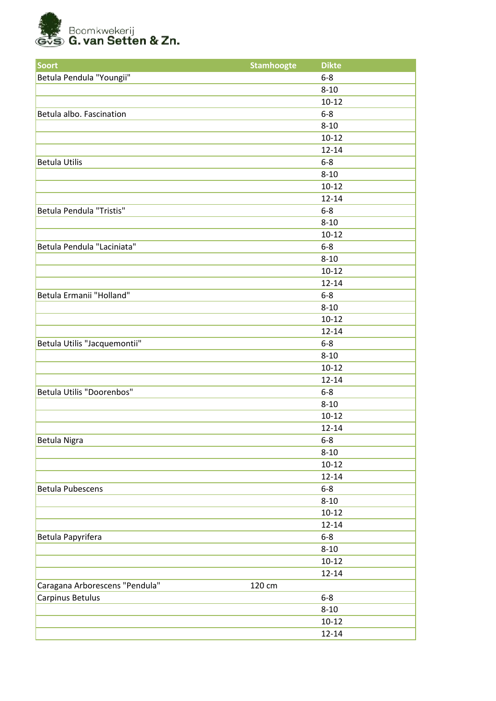

| Soort                          | <b>Stamhoogte</b> | <b>Dikte</b> |
|--------------------------------|-------------------|--------------|
| Betula Pendula "Youngii"       |                   | $6 - 8$      |
|                                |                   | $8 - 10$     |
|                                |                   | $10 - 12$    |
| Betula albo. Fascination       |                   | $6 - 8$      |
|                                |                   | $8 - 10$     |
|                                |                   | $10 - 12$    |
|                                |                   | $12 - 14$    |
| <b>Betula Utilis</b>           |                   | $6 - 8$      |
|                                |                   | $8 - 10$     |
|                                |                   | $10 - 12$    |
|                                |                   | $12 - 14$    |
| Betula Pendula "Tristis"       |                   | $6 - 8$      |
|                                |                   | $8 - 10$     |
|                                |                   | $10 - 12$    |
| Betula Pendula "Laciniata"     |                   | $6 - 8$      |
|                                |                   | $8 - 10$     |
|                                |                   | $10 - 12$    |
|                                |                   | $12 - 14$    |
| Betula Ermanii "Holland"       |                   | $6 - 8$      |
|                                |                   | $8 - 10$     |
|                                |                   | $10 - 12$    |
|                                |                   | $12 - 14$    |
| Betula Utilis "Jacquemontii"   |                   | $6 - 8$      |
|                                |                   | $8 - 10$     |
|                                |                   | $10 - 12$    |
|                                |                   | $12 - 14$    |
| Betula Utilis "Doorenbos"      |                   | $6 - 8$      |
|                                |                   | $8 - 10$     |
|                                |                   | $10 - 12$    |
|                                |                   | $12 - 14$    |
| Betula Nigra                   |                   | $6 - 8$      |
|                                |                   | $8 - 10$     |
|                                |                   | $10 - 12$    |
|                                |                   | $12 - 14$    |
| <b>Betula Pubescens</b>        |                   | $6-8$        |
|                                |                   | $8 - 10$     |
|                                |                   | $10-12$      |
|                                |                   | $12 - 14$    |
| Betula Papyrifera              |                   | $6 - 8$      |
|                                |                   | $8 - 10$     |
|                                |                   | $10 - 12$    |
|                                |                   | $12 - 14$    |
| Caragana Arborescens "Pendula" | 120 cm            |              |
| Carpinus Betulus               |                   | $6 - 8$      |
|                                |                   | $8 - 10$     |
|                                |                   | $10 - 12$    |
|                                |                   | $12 - 14$    |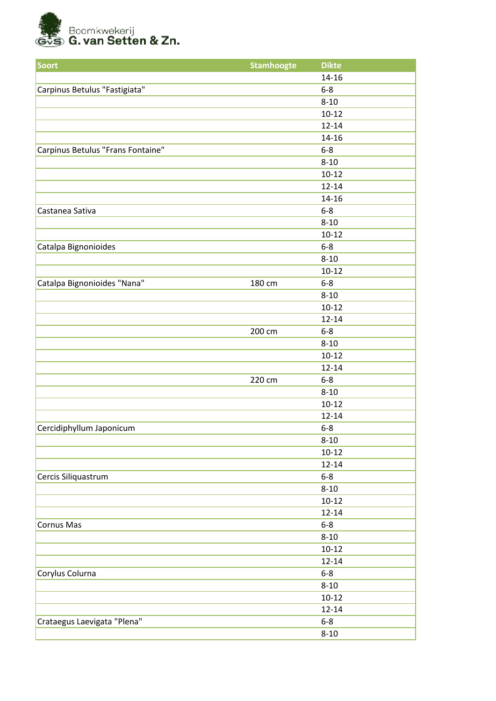

| <b>Soort</b>                      | <b>Stamhoogte</b> | <b>Dikte</b> |
|-----------------------------------|-------------------|--------------|
|                                   |                   | $14 - 16$    |
| Carpinus Betulus "Fastigiata"     |                   | $6 - 8$      |
|                                   |                   | $8 - 10$     |
|                                   |                   | $10 - 12$    |
|                                   |                   | $12 - 14$    |
|                                   |                   | $14 - 16$    |
| Carpinus Betulus "Frans Fontaine" |                   | $6 - 8$      |
|                                   |                   | $8 - 10$     |
|                                   |                   | $10 - 12$    |
|                                   |                   | $12 - 14$    |
|                                   |                   | $14 - 16$    |
| Castanea Sativa                   |                   | $6-8$        |
|                                   |                   | $8 - 10$     |
|                                   |                   | $10 - 12$    |
| Catalpa Bignonioides              |                   | $6 - 8$      |
|                                   |                   | $8 - 10$     |
|                                   |                   | $10 - 12$    |
| Catalpa Bignonioides "Nana"       | 180 cm            | $6 - 8$      |
|                                   |                   | $8 - 10$     |
|                                   |                   | $10 - 12$    |
|                                   |                   | $12 - 14$    |
|                                   | 200 cm            | $6 - 8$      |
|                                   |                   | $8 - 10$     |
|                                   |                   | $10 - 12$    |
|                                   |                   | $12 - 14$    |
|                                   | 220 cm            | $6 - 8$      |
|                                   |                   | $8 - 10$     |
|                                   |                   | $10 - 12$    |
|                                   |                   | $12 - 14$    |
| Cercidiphyllum Japonicum          |                   | $6 - 8$      |
|                                   |                   | $8 - 10$     |
|                                   |                   | $10 - 12$    |
|                                   |                   | $12 - 14$    |
| Cercis Siliquastrum               |                   | $6 - 8$      |
|                                   |                   | $8 - 10$     |
|                                   |                   | $10 - 12$    |
|                                   |                   | $12 - 14$    |
| Cornus Mas                        |                   | $6 - 8$      |
|                                   |                   | $8 - 10$     |
|                                   |                   | $10 - 12$    |
|                                   |                   | $12 - 14$    |
| Corylus Colurna                   |                   | $6 - 8$      |
|                                   |                   | $8 - 10$     |
|                                   |                   | $10 - 12$    |
|                                   |                   | $12 - 14$    |
| Crataegus Laevigata "Plena"       |                   | $6 - 8$      |
|                                   |                   | $8 - 10$     |
|                                   |                   |              |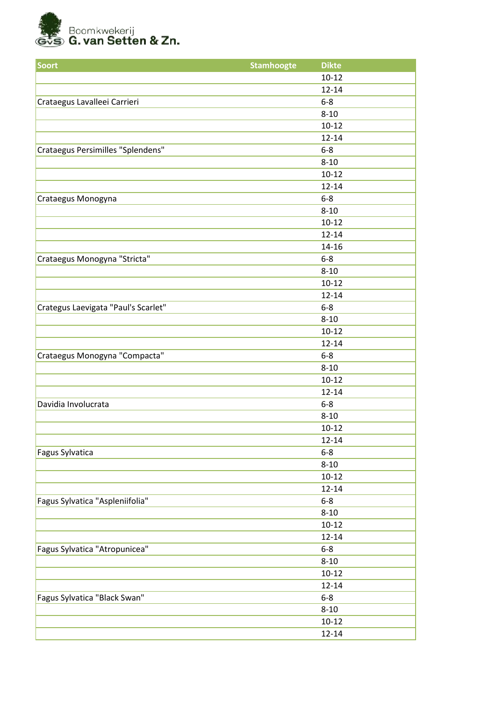

| <b>Soort</b>                        | <b>Stamhoogte</b> | <b>Dikte</b> |
|-------------------------------------|-------------------|--------------|
|                                     |                   | $10-12$      |
|                                     |                   | $12 - 14$    |
| Crataegus Lavalleei Carrieri        |                   | $6 - 8$      |
|                                     |                   | $8 - 10$     |
|                                     |                   | $10 - 12$    |
|                                     |                   | $12 - 14$    |
| Crataegus Persimilles "Splendens"   |                   | $6 - 8$      |
|                                     |                   | $8 - 10$     |
|                                     |                   | $10 - 12$    |
|                                     |                   | $12 - 14$    |
| Crataegus Monogyna                  |                   | $6 - 8$      |
|                                     |                   | $8 - 10$     |
|                                     |                   | $10 - 12$    |
|                                     |                   | $12 - 14$    |
|                                     |                   | 14-16        |
| Crataegus Monogyna "Stricta"        |                   | $6 - 8$      |
|                                     |                   | $8 - 10$     |
|                                     |                   | $10 - 12$    |
|                                     |                   | $12 - 14$    |
| Crategus Laevigata "Paul's Scarlet" |                   | $6 - 8$      |
|                                     |                   | $8 - 10$     |
|                                     |                   | $10 - 12$    |
|                                     |                   | $12 - 14$    |
| Crataegus Monogyna "Compacta"       |                   | $6 - 8$      |
|                                     |                   | $8 - 10$     |
|                                     |                   | $10 - 12$    |
|                                     |                   | $12 - 14$    |
| Davidia Involucrata                 |                   | $6 - 8$      |
|                                     |                   | $8 - 10$     |
|                                     |                   | $10 - 12$    |
|                                     |                   | $12 - 14$    |
| Fagus Sylvatica                     |                   | $6 - 8$      |
|                                     |                   | $8 - 10$     |
|                                     |                   | $10 - 12$    |
|                                     |                   | $12 - 14$    |
| Fagus Sylvatica "Aspleniifolia"     |                   | $6 - 8$      |
|                                     |                   | $8 - 10$     |
|                                     |                   | $10 - 12$    |
|                                     |                   | $12 - 14$    |
| Fagus Sylvatica "Atropunicea"       |                   | $6 - 8$      |
|                                     |                   | $8 - 10$     |
|                                     |                   | $10 - 12$    |
|                                     |                   | $12 - 14$    |
| Fagus Sylvatica "Black Swan"        |                   | $6 - 8$      |
|                                     |                   | $8 - 10$     |
|                                     |                   | $10 - 12$    |
|                                     |                   | $12 - 14$    |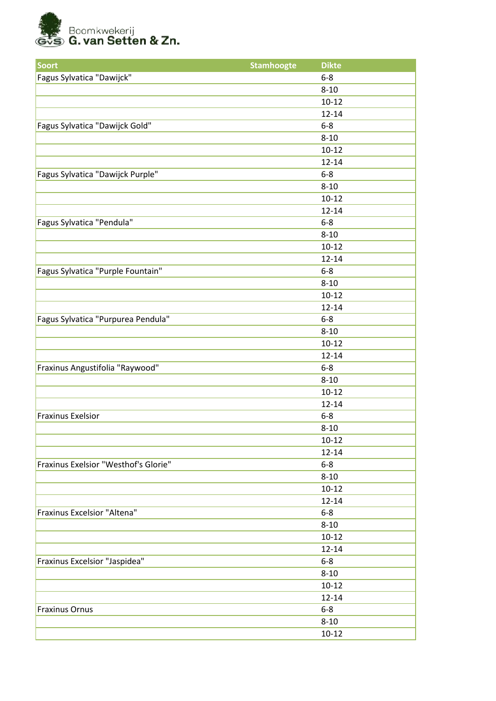

| <b>Soort</b>                         | <b>Stamhoogte</b> | <b>Dikte</b> |
|--------------------------------------|-------------------|--------------|
| Fagus Sylvatica "Dawijck"            |                   | $6 - 8$      |
|                                      |                   | $8 - 10$     |
|                                      |                   | $10 - 12$    |
|                                      |                   | $12 - 14$    |
| Fagus Sylvatica "Dawijck Gold"       |                   | $6-8$        |
|                                      |                   | $8 - 10$     |
|                                      |                   | $10 - 12$    |
|                                      |                   | $12 - 14$    |
| Fagus Sylvatica "Dawijck Purple"     |                   | $6 - 8$      |
|                                      |                   | $8 - 10$     |
|                                      |                   | $10 - 12$    |
|                                      |                   | $12 - 14$    |
| Fagus Sylvatica "Pendula"            |                   | $6 - 8$      |
|                                      |                   | $8 - 10$     |
|                                      |                   | $10 - 12$    |
|                                      |                   | $12 - 14$    |
| Fagus Sylvatica "Purple Fountain"    |                   | $6 - 8$      |
|                                      |                   | $8 - 10$     |
|                                      |                   | $10 - 12$    |
|                                      |                   | $12 - 14$    |
| Fagus Sylvatica "Purpurea Pendula"   |                   | $6 - 8$      |
|                                      |                   | $8 - 10$     |
|                                      |                   | $10 - 12$    |
|                                      |                   | $12 - 14$    |
| Fraxinus Angustifolia "Raywood"      |                   | $6 - 8$      |
|                                      |                   | $8 - 10$     |
|                                      |                   | $10 - 12$    |
|                                      |                   | $12 - 14$    |
| <b>Fraxinus Exelsior</b>             |                   | $6 - 8$      |
|                                      |                   | $8 - 10$     |
|                                      |                   | $10 - 12$    |
|                                      |                   | $12 - 14$    |
| Fraxinus Exelsior "Westhof's Glorie" |                   | $6 - 8$      |
|                                      |                   | $8 - 10$     |
|                                      |                   | $10 - 12$    |
|                                      |                   | $12 - 14$    |
| Fraxinus Excelsior "Altena"          |                   | $6 - 8$      |
|                                      |                   | $8 - 10$     |
|                                      |                   | $10 - 12$    |
|                                      |                   | $12 - 14$    |
| Fraxinus Excelsior "Jaspidea"        |                   | $6 - 8$      |
|                                      |                   | $8 - 10$     |
|                                      |                   | $10 - 12$    |
|                                      |                   | $12 - 14$    |
| <b>Fraxinus Ornus</b>                |                   | $6-8$        |
|                                      |                   | $8 - 10$     |
|                                      |                   | $10 - 12$    |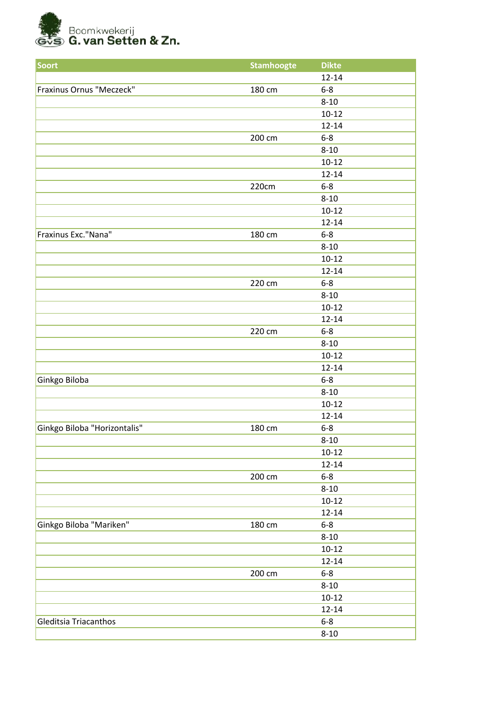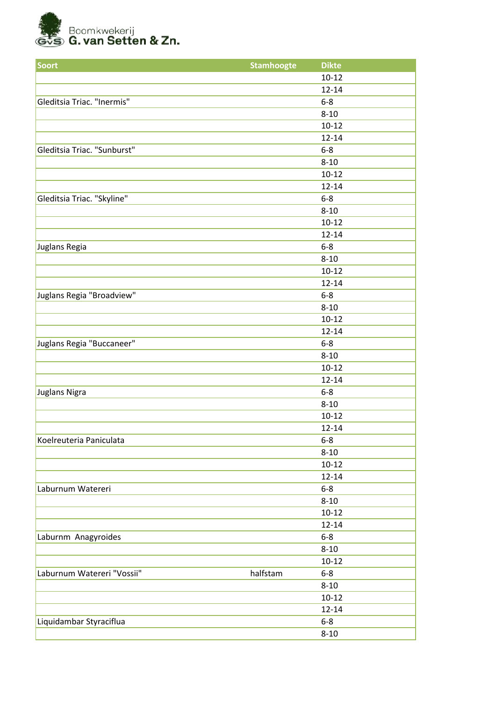

| <b>Soort</b>                | <b>Stamhoogte</b> | <b>Dikte</b> |
|-----------------------------|-------------------|--------------|
|                             |                   | $10 - 12$    |
|                             |                   | $12 - 14$    |
| Gleditsia Triac. "Inermis"  |                   | $6-8$        |
|                             |                   | $8 - 10$     |
|                             |                   | $10 - 12$    |
|                             |                   | $12 - 14$    |
| Gleditsia Triac. "Sunburst" |                   | $6 - 8$      |
|                             |                   | $8 - 10$     |
|                             |                   | $10 - 12$    |
|                             |                   | $12 - 14$    |
| Gleditsia Triac. "Skyline"  |                   | $6 - 8$      |
|                             |                   | $8 - 10$     |
|                             |                   | $10 - 12$    |
|                             |                   | $12 - 14$    |
| Juglans Regia               |                   | $6 - 8$      |
|                             |                   | $8 - 10$     |
|                             |                   | $10 - 12$    |
|                             |                   | $12 - 14$    |
| Juglans Regia "Broadview"   |                   | $6 - 8$      |
|                             |                   | $8 - 10$     |
|                             |                   | $10 - 12$    |
|                             |                   | $12 - 14$    |
| Juglans Regia "Buccaneer"   |                   | $6 - 8$      |
|                             |                   | $8 - 10$     |
|                             |                   | $10 - 12$    |
|                             |                   | $12 - 14$    |
| Juglans Nigra               |                   | $6 - 8$      |
|                             |                   | $8 - 10$     |
|                             |                   | $10 - 12$    |
|                             |                   | $12 - 14$    |
| Koelreuteria Paniculata     |                   | $6 - 8$      |
|                             |                   | $8 - 10$     |
|                             |                   | $10 - 12$    |
|                             |                   | $12 - 14$    |
| Laburnum Watereri           |                   | $6 - 8$      |
|                             |                   | $8 - 10$     |
|                             |                   | $10 - 12$    |
|                             |                   | $12 - 14$    |
| Laburnm Anagyroides         |                   | $6 - 8$      |
|                             |                   | $8 - 10$     |
|                             |                   | $10 - 12$    |
| Laburnum Watereri "Vossii"  | halfstam          | $6 - 8$      |
|                             |                   | $8 - 10$     |
|                             |                   | $10 - 12$    |
|                             |                   | $12 - 14$    |
| Liquidambar Styraciflua     |                   | $6 - 8$      |
|                             |                   | $8 - 10$     |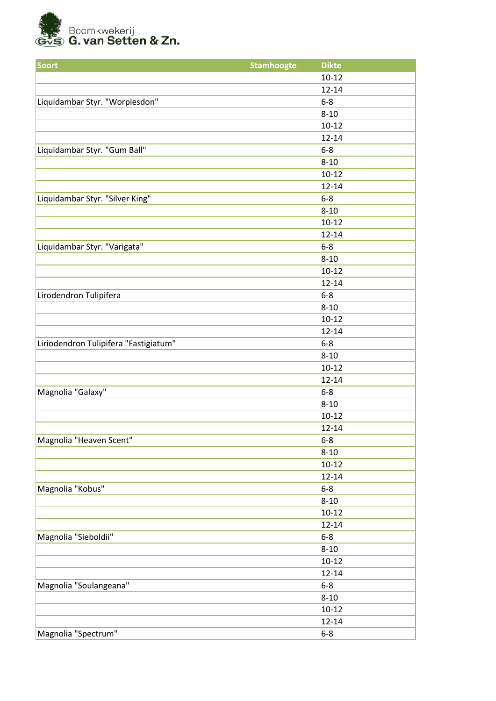

| Soort                                 | <b>Stamhoogte</b> | <b>Dikte</b> |
|---------------------------------------|-------------------|--------------|
|                                       |                   | $10 - 12$    |
|                                       |                   | $12 - 14$    |
| Liquidambar Styr. "Worplesdon"        |                   | $6 - 8$      |
|                                       |                   | $8 - 10$     |
|                                       |                   | $10 - 12$    |
|                                       |                   | $12 - 14$    |
| Liquidambar Styr. "Gum Ball"          |                   | $6 - 8$      |
|                                       |                   | $8 - 10$     |
|                                       |                   | $10 - 12$    |
|                                       |                   | $12 - 14$    |
| Liquidambar Styr. "Silver King"       |                   | $6 - 8$      |
|                                       |                   | $8 - 10$     |
|                                       |                   | $10 - 12$    |
|                                       |                   | $12 - 14$    |
| Liquidambar Styr. "Varigata"          |                   | $6 - 8$      |
|                                       |                   | $8 - 10$     |
|                                       |                   | $10 - 12$    |
|                                       |                   | $12 - 14$    |
| Lirodendron Tulipifera                |                   | $6 - 8$      |
|                                       |                   | $8 - 10$     |
|                                       |                   | $10 - 12$    |
|                                       |                   | $12 - 14$    |
| Liriodendron Tulipifera "Fastigiatum" |                   | $6 - 8$      |
|                                       |                   | $8 - 10$     |
|                                       |                   | $10 - 12$    |
|                                       |                   | $12 - 14$    |
| Magnolia "Galaxy"                     |                   | $6 - 8$      |
|                                       |                   | $8 - 10$     |
|                                       |                   | $10 - 12$    |
|                                       |                   | $12 - 14$    |
| Magnolia "Heaven Scent"               |                   | $6 - 8$      |
|                                       |                   | $8 - 10$     |
|                                       |                   | $10-12$      |
|                                       |                   | $12 - 14$    |
| Magnolia "Kobus"                      |                   | $6-8$        |
|                                       |                   | $8 - 10$     |
|                                       |                   | $10 - 12$    |
|                                       |                   | $12 - 14$    |
| Magnolia "Sieboldii"                  |                   | $6 - 8$      |
|                                       |                   | $8 - 10$     |
|                                       |                   | $10 - 12$    |
|                                       |                   | $12 - 14$    |
| Magnolia "Soulangeana"                |                   | $6 - 8$      |
|                                       |                   | $8 - 10$     |
|                                       |                   | $10 - 12$    |
|                                       |                   | $12 - 14$    |
| Magnolia "Spectrum"                   |                   | $6 - 8$      |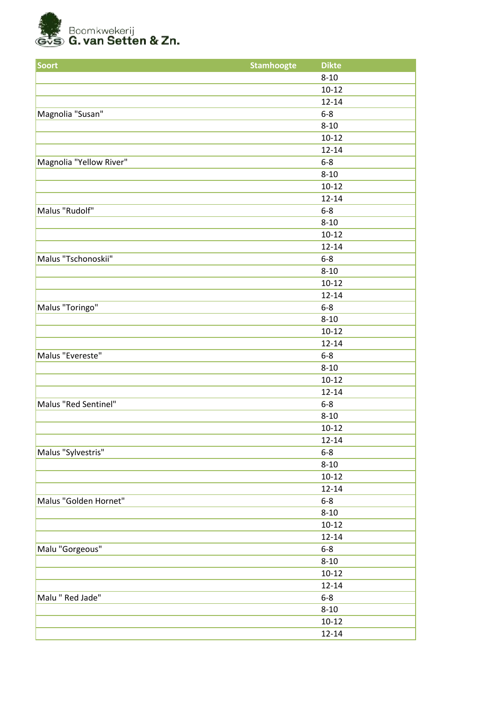

| <b>Soort</b>            | <b>Stamhoogte</b> | <b>Dikte</b> |
|-------------------------|-------------------|--------------|
|                         |                   | $8 - 10$     |
|                         |                   | $10 - 12$    |
|                         |                   | $12 - 14$    |
| Magnolia "Susan"        |                   | $6 - 8$      |
|                         |                   | $8 - 10$     |
|                         |                   | $10 - 12$    |
|                         |                   | $12 - 14$    |
| Magnolia "Yellow River" |                   | $6-8$        |
|                         |                   | $8 - 10$     |
|                         |                   | $10 - 12$    |
|                         |                   | $12 - 14$    |
| Malus "Rudolf"          |                   | $6 - 8$      |
|                         |                   | $8 - 10$     |
|                         |                   | $10 - 12$    |
|                         |                   | $12 - 14$    |
| Malus "Tschonoskii"     |                   | $6-8$        |
|                         |                   | $8 - 10$     |
|                         |                   | $10 - 12$    |
|                         |                   | $12 - 14$    |
| Malus "Toringo"         |                   | $6 - 8$      |
|                         |                   | $8 - 10$     |
|                         |                   | $10 - 12$    |
|                         |                   | $12 - 14$    |
| Malus "Evereste"        |                   | $6 - 8$      |
|                         |                   | $8 - 10$     |
|                         |                   | $10 - 12$    |
|                         |                   | $12 - 14$    |
| Malus "Red Sentinel"    |                   | $6 - 8$      |
|                         |                   | $8 - 10$     |
|                         |                   | $10 - 12$    |
|                         |                   | $12 - 14$    |
| Malus "Sylvestris"      |                   | $6 - 8$      |
|                         |                   | $8 - 10$     |
|                         |                   | $10 - 12$    |
|                         |                   | $12 - 14$    |
| Malus "Golden Hornet"   |                   | $6 - 8$      |
|                         |                   | $8 - 10$     |
|                         |                   | $10 - 12$    |
|                         |                   | $12 - 14$    |
| Malu "Gorgeous"         |                   | $6 - 8$      |
|                         |                   | $8 - 10$     |
|                         |                   | $10 - 12$    |
|                         |                   | $12 - 14$    |
| Malu " Red Jade"        |                   | $6 - 8$      |
|                         |                   | $8 - 10$     |
|                         |                   | $10 - 12$    |
|                         |                   | $12 - 14$    |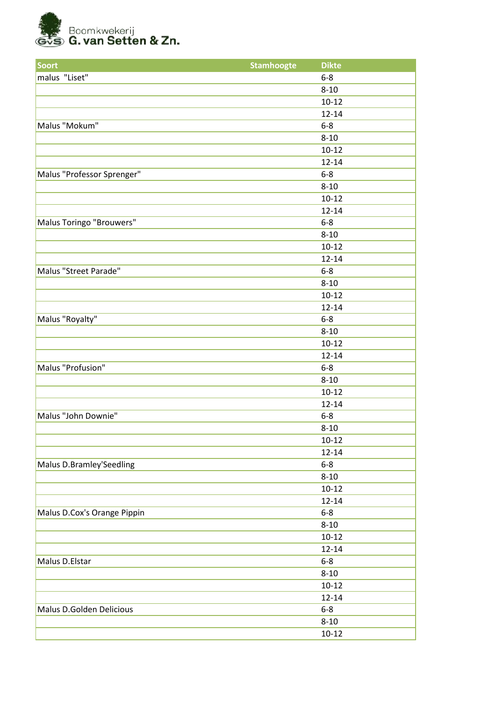

| <b>Soort</b>                | <b>Stamhoogte</b> | <b>Dikte</b> |
|-----------------------------|-------------------|--------------|
| malus "Liset"               |                   | $6 - 8$      |
|                             |                   | $8 - 10$     |
|                             |                   | $10 - 12$    |
|                             |                   | $12 - 14$    |
| Malus "Mokum"               |                   | $6-8$        |
|                             |                   | $8 - 10$     |
|                             |                   | $10 - 12$    |
|                             |                   | $12 - 14$    |
| Malus "Professor Sprenger"  |                   | $6 - 8$      |
|                             |                   | $8 - 10$     |
|                             |                   | $10 - 12$    |
|                             |                   | $12 - 14$    |
| Malus Toringo "Brouwers"    |                   | $6 - 8$      |
|                             |                   | $8 - 10$     |
|                             |                   | $10 - 12$    |
|                             |                   | $12 - 14$    |
| Malus "Street Parade"       |                   | $6 - 8$      |
|                             |                   | $8 - 10$     |
|                             |                   | $10 - 12$    |
|                             |                   | $12 - 14$    |
| Malus "Royalty"             |                   | $6 - 8$      |
|                             |                   | $8 - 10$     |
|                             |                   | $10 - 12$    |
|                             |                   | $12 - 14$    |
| Malus "Profusion"           |                   | $6 - 8$      |
|                             |                   | $8 - 10$     |
|                             |                   | $10 - 12$    |
|                             |                   | $12 - 14$    |
| Malus "John Downie"         |                   | $6 - 8$      |
|                             |                   | $8 - 10$     |
|                             |                   | $10 - 12$    |
|                             |                   | $12 - 14$    |
| Malus D.Bramley'Seedling    |                   | $6 - 8$      |
|                             |                   | $8 - 10$     |
|                             |                   | $10 - 12$    |
|                             |                   | $12 - 14$    |
| Malus D.Cox's Orange Pippin |                   | $6 - 8$      |
|                             |                   | $8 - 10$     |
|                             |                   | $10 - 12$    |
|                             |                   | $12 - 14$    |
| Malus D.Elstar              |                   | $6 - 8$      |
|                             |                   | $8 - 10$     |
|                             |                   | $10 - 12$    |
|                             |                   | $12 - 14$    |
| Malus D.Golden Delicious    |                   | $6 - 8$      |
|                             |                   | $8 - 10$     |
|                             |                   | $10 - 12$    |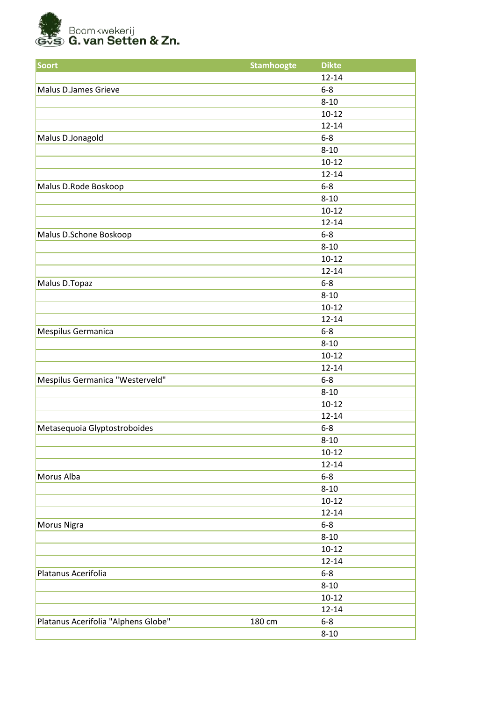

| Soort                               | <b>Stamhoogte</b> | <b>Dikte</b> |
|-------------------------------------|-------------------|--------------|
|                                     |                   | $12 - 14$    |
| Malus D.James Grieve                |                   | $6-8$        |
|                                     |                   | $8 - 10$     |
|                                     |                   | $10 - 12$    |
|                                     |                   | $12 - 14$    |
| Malus D.Jonagold                    |                   | $6-8$        |
|                                     |                   | $8 - 10$     |
|                                     |                   | $10 - 12$    |
|                                     |                   | $12 - 14$    |
| Malus D.Rode Boskoop                |                   | $6 - 8$      |
|                                     |                   | $8 - 10$     |
|                                     |                   | $10 - 12$    |
|                                     |                   | $12 - 14$    |
| Malus D.Schone Boskoop              |                   | $6-8$        |
|                                     |                   | $8 - 10$     |
|                                     |                   | $10 - 12$    |
|                                     |                   | $12 - 14$    |
| Malus D.Topaz                       |                   | $6 - 8$      |
|                                     |                   | $8 - 10$     |
|                                     |                   | $10 - 12$    |
|                                     |                   | $12 - 14$    |
| Mespilus Germanica                  |                   | $6 - 8$      |
|                                     |                   | $8 - 10$     |
|                                     |                   | $10 - 12$    |
|                                     |                   | $12 - 14$    |
| Mespilus Germanica "Westerveld"     |                   | $6-8$        |
|                                     |                   | $8 - 10$     |
|                                     |                   | $10 - 12$    |
|                                     |                   | $12 - 14$    |
| Metasequoia Glyptostroboides        |                   | $6 - 8$      |
|                                     |                   | $8 - 10$     |
|                                     |                   | $10 - 12$    |
|                                     |                   | $12 - 14$    |
| Morus Alba                          |                   | $6 - 8$      |
|                                     |                   | $8 - 10$     |
|                                     |                   | $10 - 12$    |
|                                     |                   | $12 - 14$    |
| Morus Nigra                         |                   | $6 - 8$      |
|                                     |                   | $8 - 10$     |
|                                     |                   | $10-12$      |
|                                     |                   | $12 - 14$    |
| Platanus Acerifolia                 |                   | $6 - 8$      |
|                                     |                   | $8 - 10$     |
|                                     |                   | $10 - 12$    |
|                                     |                   | $12 - 14$    |
| Platanus Acerifolia "Alphens Globe" | 180 cm            | $6 - 8$      |
|                                     |                   | $8 - 10$     |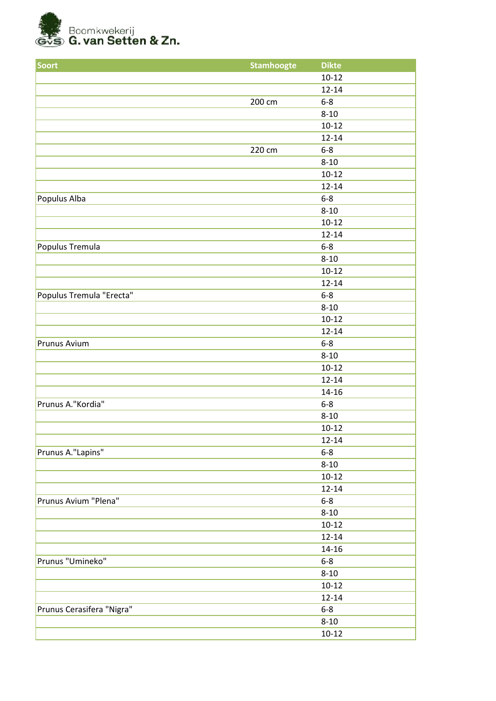

| Soort                     | <b>Stamhoogte</b> | <b>Dikte</b> |
|---------------------------|-------------------|--------------|
|                           |                   | $10 - 12$    |
|                           |                   | $12 - 14$    |
|                           | 200 cm            | $6 - 8$      |
|                           |                   | $8 - 10$     |
|                           |                   | $10 - 12$    |
|                           |                   | $12 - 14$    |
|                           | 220 cm            | $6 - 8$      |
|                           |                   | $8 - 10$     |
|                           |                   | $10 - 12$    |
|                           |                   | $12 - 14$    |
| Populus Alba              |                   | $6-8$        |
|                           |                   | $8 - 10$     |
|                           |                   | $10 - 12$    |
|                           |                   | $12 - 14$    |
| Populus Tremula           |                   | $6 - 8$      |
|                           |                   | $8 - 10$     |
|                           |                   | $10 - 12$    |
|                           |                   | $12 - 14$    |
| Populus Tremula "Erecta"  |                   | $6 - 8$      |
|                           |                   | $8 - 10$     |
|                           |                   | $10 - 12$    |
|                           |                   | $12 - 14$    |
| Prunus Avium              |                   | $6-8$        |
|                           |                   | $8 - 10$     |
|                           |                   | $10 - 12$    |
|                           |                   | $12 - 14$    |
|                           |                   | 14-16        |
| Prunus A."Kordia"         |                   | $6 - 8$      |
|                           |                   | $8 - 10$     |
|                           |                   | $10 - 12$    |
|                           |                   | $12 - 14$    |
| Prunus A."Lapins"         |                   | $6 - 8$      |
|                           |                   | $8 - 10$     |
|                           |                   | $10 - 12$    |
|                           |                   | $12 - 14$    |
| Prunus Avium "Plena"      |                   | $6 - 8$      |
|                           |                   | $8 - 10$     |
|                           |                   | $10 - 12$    |
|                           |                   | $12 - 14$    |
|                           |                   | 14-16        |
| Prunus "Umineko"          |                   | $6 - 8$      |
|                           |                   | $8 - 10$     |
|                           |                   | $10 - 12$    |
|                           |                   | $12 - 14$    |
| Prunus Cerasifera "Nigra" |                   | $6 - 8$      |
|                           |                   | $8 - 10$     |
|                           |                   | $10 - 12$    |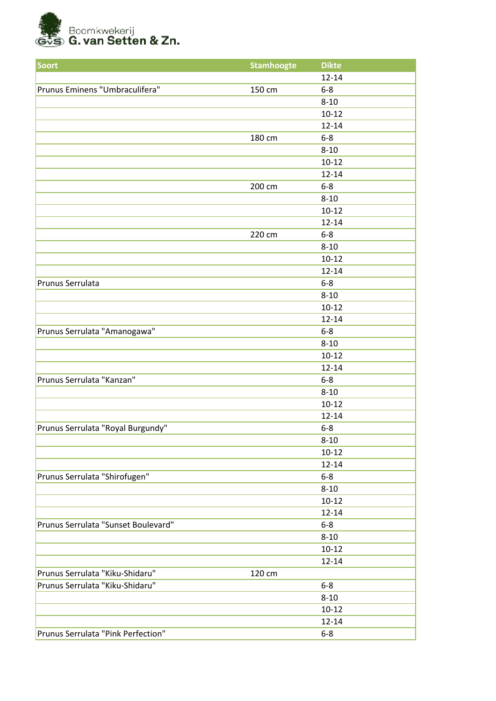

| Soort                               | <b>Stamhoogte</b> | <b>Dikte</b> |
|-------------------------------------|-------------------|--------------|
|                                     |                   | $12 - 14$    |
| Prunus Eminens "Umbraculifera"      | 150 cm            | $6-8$        |
|                                     |                   | $8 - 10$     |
|                                     |                   | $10 - 12$    |
|                                     |                   | $12 - 14$    |
|                                     | 180 cm            | $6 - 8$      |
|                                     |                   | $8 - 10$     |
|                                     |                   | $10 - 12$    |
|                                     |                   | $12 - 14$    |
|                                     | 200 cm            | $6 - 8$      |
|                                     |                   | $8 - 10$     |
|                                     |                   | $10 - 12$    |
|                                     |                   | $12 - 14$    |
|                                     | 220 cm            | $6 - 8$      |
|                                     |                   | $8 - 10$     |
|                                     |                   | $10 - 12$    |
|                                     |                   | $12 - 14$    |
| Prunus Serrulata                    |                   | $6 - 8$      |
|                                     |                   | $8 - 10$     |
|                                     |                   | $10 - 12$    |
|                                     |                   | $12 - 14$    |
| Prunus Serrulata "Amanogawa"        |                   | $6 - 8$      |
|                                     |                   | $8 - 10$     |
|                                     |                   | $10 - 12$    |
|                                     |                   | $12 - 14$    |
| Prunus Serrulata "Kanzan"           |                   | $6 - 8$      |
|                                     |                   | $8 - 10$     |
|                                     |                   | $10 - 12$    |
|                                     |                   | $12 - 14$    |
| Prunus Serrulata "Royal Burgundy"   |                   | $6 - 8$      |
|                                     |                   | $8 - 10$     |
|                                     |                   | $10 - 12$    |
|                                     |                   | $12 - 14$    |
| Prunus Serrulata "Shirofugen"       |                   | $6-8$        |
|                                     |                   | $8 - 10$     |
|                                     |                   | $10 - 12$    |
|                                     |                   | $12 - 14$    |
| Prunus Serrulata "Sunset Boulevard" |                   | $6-8$        |
|                                     |                   | $8 - 10$     |
|                                     |                   | $10-12$      |
|                                     |                   | $12 - 14$    |
| Prunus Serrulata "Kiku-Shidaru"     | 120 cm            |              |
| Prunus Serrulata "Kiku-Shidaru"     |                   | $6-8$        |
|                                     |                   | $8 - 10$     |
|                                     |                   | $10 - 12$    |
|                                     |                   | $12 - 14$    |
| Prunus Serrulata "Pink Perfection"  |                   | $6 - 8$      |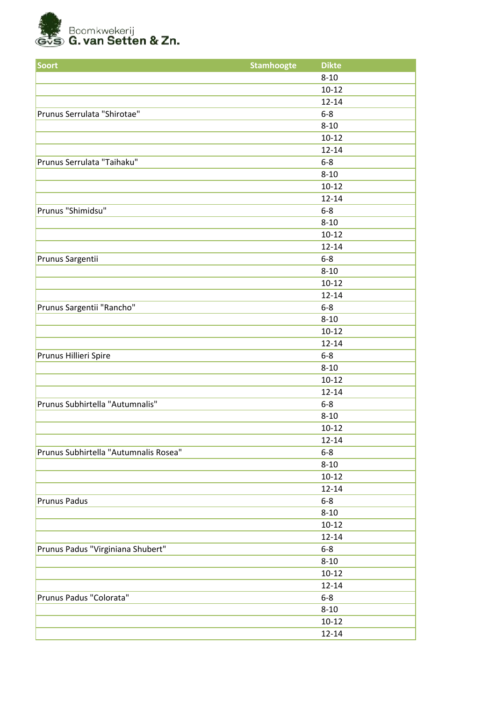

| <b>Soort</b>                          | <b>Stamhoogte</b> | <b>Dikte</b> |
|---------------------------------------|-------------------|--------------|
|                                       |                   | $8 - 10$     |
|                                       |                   | $10 - 12$    |
|                                       |                   | $12 - 14$    |
| Prunus Serrulata "Shirotae"           |                   | $6 - 8$      |
|                                       |                   | $8 - 10$     |
|                                       |                   | $10 - 12$    |
|                                       |                   | $12 - 14$    |
| Prunus Serrulata "Taihaku"            |                   | $6 - 8$      |
|                                       |                   | $8 - 10$     |
|                                       |                   | $10 - 12$    |
|                                       |                   | $12 - 14$    |
| Prunus "Shimidsu"                     |                   | $6 - 8$      |
|                                       |                   | $8 - 10$     |
|                                       |                   | $10 - 12$    |
|                                       |                   | $12 - 14$    |
| Prunus Sargentii                      |                   | $6 - 8$      |
|                                       |                   | $8 - 10$     |
|                                       |                   | $10 - 12$    |
|                                       |                   | $12 - 14$    |
| Prunus Sargentii "Rancho"             |                   | $6-8$        |
|                                       |                   | $8 - 10$     |
|                                       |                   | $10 - 12$    |
|                                       |                   | $12 - 14$    |
| Prunus Hillieri Spire                 |                   | $6 - 8$      |
|                                       |                   | $8 - 10$     |
|                                       |                   | $10 - 12$    |
|                                       |                   | $12 - 14$    |
| Prunus Subhirtella "Autumnalis"       |                   | $6 - 8$      |
|                                       |                   | $8 - 10$     |
|                                       |                   | $10 - 12$    |
|                                       |                   | $12 - 14$    |
| Prunus Subhirtella "Autumnalis Rosea" |                   | $6 - 8$      |
|                                       |                   | $8 - 10$     |
|                                       |                   | $10 - 12$    |
|                                       |                   | $12 - 14$    |
| <b>Prunus Padus</b>                   |                   | $6 - 8$      |
|                                       |                   | $8 - 10$     |
|                                       |                   | $10 - 12$    |
|                                       |                   | $12 - 14$    |
| Prunus Padus "Virginiana Shubert"     |                   | $6 - 8$      |
|                                       |                   | $8 - 10$     |
|                                       |                   | $10 - 12$    |
|                                       |                   | $12 - 14$    |
| Prunus Padus "Colorata"               |                   | $6 - 8$      |
|                                       |                   | $8 - 10$     |
|                                       |                   | $10 - 12$    |
|                                       |                   | $12 - 14$    |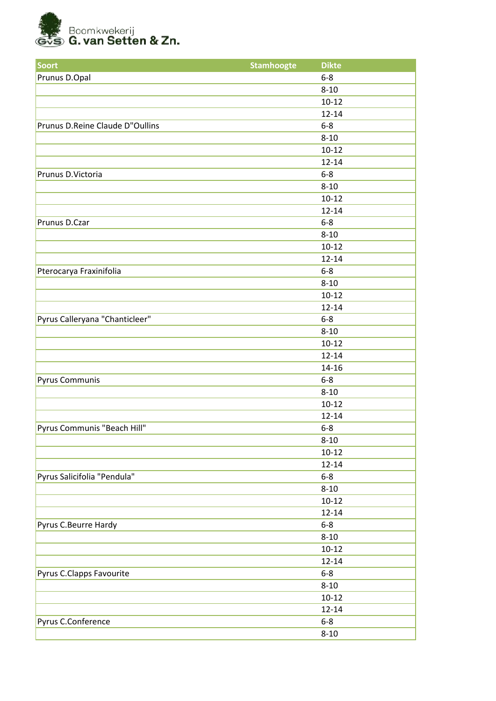

| <b>Soort</b>                    | <b>Stamhoogte</b> | <b>Dikte</b> |
|---------------------------------|-------------------|--------------|
| Prunus D.Opal                   |                   | $6 - 8$      |
|                                 |                   | $8 - 10$     |
|                                 |                   | $10 - 12$    |
|                                 |                   | $12 - 14$    |
| Prunus D.Reine Claude D"Oullins |                   | $6-8$        |
|                                 |                   | $8 - 10$     |
|                                 |                   | $10 - 12$    |
|                                 |                   | $12 - 14$    |
| Prunus D.Victoria               |                   | $6 - 8$      |
|                                 |                   | $8 - 10$     |
|                                 |                   | $10 - 12$    |
|                                 |                   | $12 - 14$    |
| Prunus D.Czar                   |                   | $6 - 8$      |
|                                 |                   | $8 - 10$     |
|                                 |                   | $10 - 12$    |
|                                 |                   | $12 - 14$    |
| Pterocarya Fraxinifolia         |                   | $6 - 8$      |
|                                 |                   | $8 - 10$     |
|                                 |                   | $10 - 12$    |
|                                 |                   | $12 - 14$    |
| Pyrus Calleryana "Chanticleer"  |                   | $6 - 8$      |
|                                 |                   | $8 - 10$     |
|                                 |                   | $10 - 12$    |
|                                 |                   | $12 - 14$    |
|                                 |                   | $14 - 16$    |
| Pyrus Communis                  |                   | $6 - 8$      |
|                                 |                   | $8 - 10$     |
|                                 |                   | $10 - 12$    |
|                                 |                   | $12 - 14$    |
| Pyrus Communis "Beach Hill"     |                   | $6 - 8$      |
|                                 |                   | $8 - 10$     |
|                                 |                   | $10 - 12$    |
|                                 |                   | $12 - 14$    |
| Pyrus Salicifolia "Pendula"     |                   | $6 - 8$      |
|                                 |                   | $8 - 10$     |
|                                 |                   | $10 - 12$    |
|                                 |                   | $12 - 14$    |
| Pyrus C.Beurre Hardy            |                   | $6 - 8$      |
|                                 |                   | $8 - 10$     |
|                                 |                   | $10-12$      |
|                                 |                   | $12 - 14$    |
| Pyrus C.Clapps Favourite        |                   | $6 - 8$      |
|                                 |                   | $8 - 10$     |
|                                 |                   | $10 - 12$    |
|                                 |                   | $12 - 14$    |
| Pyrus C.Conference              |                   | $6 - 8$      |
|                                 |                   | $8 - 10$     |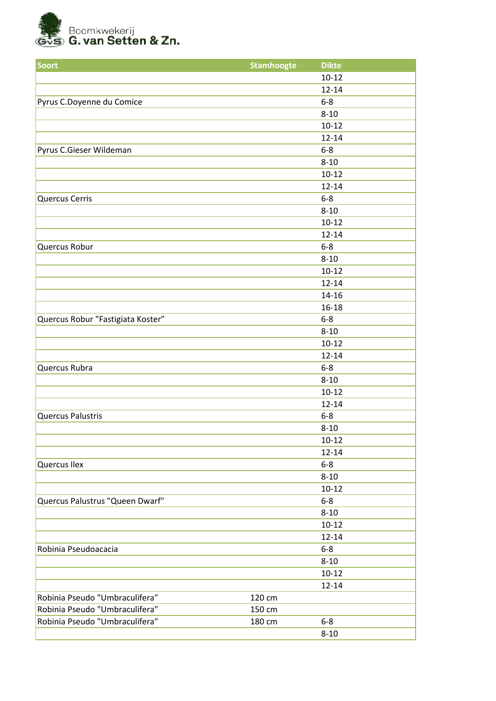

| <b>Soort</b>                      | <b>Stamhoogte</b> | <b>Dikte</b> |
|-----------------------------------|-------------------|--------------|
|                                   |                   | $10 - 12$    |
|                                   |                   | $12 - 14$    |
| Pyrus C.Doyenne du Comice         |                   | $6 - 8$      |
|                                   |                   | $8 - 10$     |
|                                   |                   | $10 - 12$    |
|                                   |                   | $12 - 14$    |
| Pyrus C.Gieser Wildeman           |                   | $6 - 8$      |
|                                   |                   | $8 - 10$     |
|                                   |                   | $10 - 12$    |
|                                   |                   | $12 - 14$    |
| <b>Quercus Cerris</b>             |                   | $6-8$        |
|                                   |                   | $8 - 10$     |
|                                   |                   | $10 - 12$    |
|                                   |                   | $12 - 14$    |
| Quercus Robur                     |                   | $6 - 8$      |
|                                   |                   | $8 - 10$     |
|                                   |                   | $10 - 12$    |
|                                   |                   | $12 - 14$    |
|                                   |                   | $14 - 16$    |
|                                   |                   | $16 - 18$    |
| Quercus Robur "Fastigiata Koster" |                   | $6 - 8$      |
|                                   |                   | $8 - 10$     |
|                                   |                   | $10 - 12$    |
|                                   |                   | $12 - 14$    |
| Quercus Rubra                     |                   | $6 - 8$      |
|                                   |                   | $8 - 10$     |
|                                   |                   | $10 - 12$    |
|                                   |                   | $12 - 14$    |
| <b>Quercus Palustris</b>          |                   | $6 - 8$      |
|                                   |                   | $8 - 10$     |
|                                   |                   | $10 - 12$    |
|                                   |                   | $12 - 14$    |
| <b>Quercus Ilex</b>               |                   | $6 - 8$      |
|                                   |                   | $8 - 10$     |
|                                   |                   | $10 - 12$    |
| Quercus Palustrus "Queen Dwarf"   |                   | $6 - 8$      |
|                                   |                   | $8 - 10$     |
|                                   |                   | $10 - 12$    |
|                                   |                   | $12 - 14$    |
| Robinia Pseudoacacia              |                   | $6 - 8$      |
|                                   |                   | $8 - 10$     |
|                                   |                   | $10 - 12$    |
|                                   |                   | $12 - 14$    |
| Robinia Pseudo "Umbraculifera"    | 120 cm            |              |
| Robinia Pseudo "Umbraculifera"    | 150 cm            |              |
| Robinia Pseudo "Umbraculifera"    | 180 cm            | $6 - 8$      |
|                                   |                   | $8 - 10$     |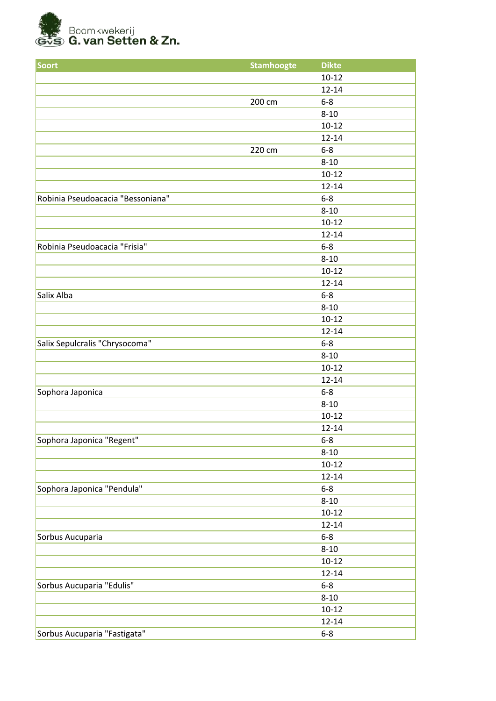

| <b>Soort</b>                      | <b>Stamhoogte</b> | <b>Dikte</b> |
|-----------------------------------|-------------------|--------------|
|                                   |                   | $10 - 12$    |
|                                   |                   | $12 - 14$    |
|                                   | 200 cm            | $6 - 8$      |
|                                   |                   | $8 - 10$     |
|                                   |                   | $10 - 12$    |
|                                   |                   | $12 - 14$    |
|                                   | 220 cm            | $6 - 8$      |
|                                   |                   | $8 - 10$     |
|                                   |                   | $10 - 12$    |
|                                   |                   | $12 - 14$    |
| Robinia Pseudoacacia "Bessoniana" |                   | $6-8$        |
|                                   |                   | $8 - 10$     |
|                                   |                   | $10 - 12$    |
|                                   |                   | $12 - 14$    |
| Robinia Pseudoacacia "Frisia"     |                   | $6 - 8$      |
|                                   |                   | $8 - 10$     |
|                                   |                   | $10 - 12$    |
|                                   |                   | $12 - 14$    |
| Salix Alba                        |                   | $6 - 8$      |
|                                   |                   | $8 - 10$     |
|                                   |                   | $10 - 12$    |
|                                   |                   | $12 - 14$    |
| Salix Sepulcralis "Chrysocoma"    |                   | $6 - 8$      |
|                                   |                   | $8 - 10$     |
|                                   |                   | $10 - 12$    |
|                                   |                   | $12 - 14$    |
| Sophora Japonica                  |                   | $6 - 8$      |
|                                   |                   | $8 - 10$     |
|                                   |                   | $10 - 12$    |
|                                   |                   | $12 - 14$    |
| Sophora Japonica "Regent"         |                   | $6 - 8$      |
|                                   |                   | $8 - 10$     |
|                                   |                   | $10 - 12$    |
|                                   |                   | $12 - 14$    |
| Sophora Japonica "Pendula"        |                   | $6 - 8$      |
|                                   |                   | $8 - 10$     |
|                                   |                   | $10 - 12$    |
|                                   |                   | $12 - 14$    |
| Sorbus Aucuparia                  |                   | $6 - 8$      |
|                                   |                   | $8 - 10$     |
|                                   |                   | $10 - 12$    |
|                                   |                   | $12 - 14$    |
| Sorbus Aucuparia "Edulis"         |                   | $6 - 8$      |
|                                   |                   | $8 - 10$     |
|                                   |                   | $10 - 12$    |
|                                   |                   | $12 - 14$    |
| Sorbus Aucuparia "Fastigata"      |                   | $6 - 8$      |
|                                   |                   |              |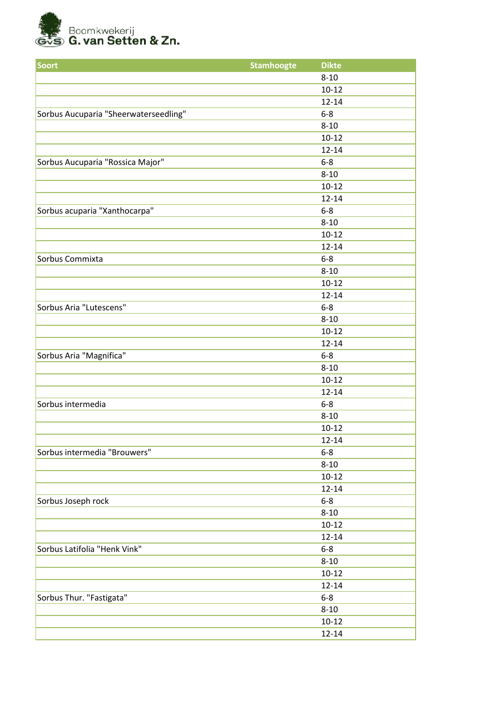

| <b>Soort</b>                          | <b>Stamhoogte</b> | <b>Dikte</b> |
|---------------------------------------|-------------------|--------------|
|                                       |                   | $8 - 10$     |
|                                       |                   | $10 - 12$    |
|                                       |                   | $12 - 14$    |
| Sorbus Aucuparia "Sheerwaterseedling" |                   | $6 - 8$      |
|                                       |                   | $8 - 10$     |
|                                       |                   | $10-12$      |
|                                       |                   | $12 - 14$    |
| Sorbus Aucuparia "Rossica Major"      |                   | $6 - 8$      |
|                                       |                   | $8 - 10$     |
|                                       |                   | $10 - 12$    |
|                                       |                   | $12 - 14$    |
| Sorbus acuparia "Xanthocarpa"         |                   | $6-8$        |
|                                       |                   | $8 - 10$     |
|                                       |                   | $10 - 12$    |
|                                       |                   | $12 - 14$    |
| Sorbus Commixta                       |                   | $6 - 8$      |
|                                       |                   | $8 - 10$     |
|                                       |                   | $10-12$      |
|                                       |                   | $12 - 14$    |
| Sorbus Aria "Lutescens"               |                   | $6 - 8$      |
|                                       |                   | $8 - 10$     |
|                                       |                   | $10 - 12$    |
|                                       |                   | $12 - 14$    |
| Sorbus Aria "Magnifica"               |                   | $6-8$        |
|                                       |                   | $8 - 10$     |
|                                       |                   | $10 - 12$    |
|                                       |                   | $12 - 14$    |
| Sorbus intermedia                     |                   | $6-8$        |
|                                       |                   | $8 - 10$     |
|                                       |                   | $10 - 12$    |
|                                       |                   | $12 - 14$    |
| Sorbus intermedia "Brouwers"          |                   | $6 - 8$      |
|                                       |                   | $8 - 10$     |
|                                       |                   | $10 - 12$    |
|                                       |                   | $12 - 14$    |
| Sorbus Joseph rock                    |                   | $6 - 8$      |
|                                       |                   | $8 - 10$     |
|                                       |                   | $10 - 12$    |
|                                       |                   | $12 - 14$    |
| Sorbus Latifolia "Henk Vink"          |                   | $6-8$        |
|                                       |                   | $8 - 10$     |
|                                       |                   | $10 - 12$    |
|                                       |                   | $12 - 14$    |
| Sorbus Thur. "Fastigata"              |                   | $6 - 8$      |
|                                       |                   | $8 - 10$     |
|                                       |                   | $10 - 12$    |
|                                       |                   | $12 - 14$    |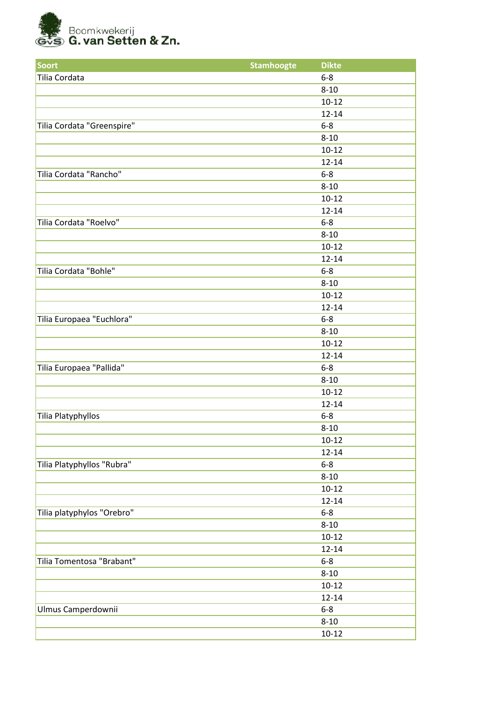

| <b>Soort</b>               | <b>Stamhoogte</b> | <b>Dikte</b> |
|----------------------------|-------------------|--------------|
| Tilia Cordata              |                   | $6 - 8$      |
|                            |                   | $8 - 10$     |
|                            |                   | $10 - 12$    |
|                            |                   | $12 - 14$    |
| Tilia Cordata "Greenspire" |                   | $6 - 8$      |
|                            |                   | $8 - 10$     |
|                            |                   | $10 - 12$    |
|                            |                   | $12 - 14$    |
| Tilia Cordata "Rancho"     |                   | $6 - 8$      |
|                            |                   | $8 - 10$     |
|                            |                   | $10 - 12$    |
|                            |                   | $12 - 14$    |
| Tilia Cordata "Roelvo"     |                   | $6-8$        |
|                            |                   | $8 - 10$     |
|                            |                   | $10 - 12$    |
|                            |                   | $12 - 14$    |
| Tilia Cordata "Bohle"      |                   | $6-8$        |
|                            |                   | $8 - 10$     |
|                            |                   | $10 - 12$    |
|                            |                   | $12 - 14$    |
| Tilia Europaea "Euchlora"  |                   | $6-8$        |
|                            |                   | $8 - 10$     |
|                            |                   | $10 - 12$    |
|                            |                   | $12 - 14$    |
| Tilia Europaea "Pallida"   |                   | $6 - 8$      |
|                            |                   | $8 - 10$     |
|                            |                   | $10 - 12$    |
|                            |                   | $12 - 14$    |
| Tilia Platyphyllos         |                   | $6 - 8$      |
|                            |                   | $8 - 10$     |
|                            |                   | $10 - 12$    |
|                            |                   | $12 - 14$    |
| Tilia Platyphyllos "Rubra" |                   | $6 - 8$      |
|                            |                   | $8 - 10$     |
|                            |                   | $10 - 12$    |
|                            |                   | $12 - 14$    |
| Tilia platyphylos "Orebro" |                   | $6 - 8$      |
|                            |                   | $8 - 10$     |
|                            |                   | $10 - 12$    |
|                            |                   | $12 - 14$    |
| Tilia Tomentosa "Brabant"  |                   | $6 - 8$      |
|                            |                   | $8 - 10$     |
|                            |                   | $10 - 12$    |
|                            |                   | $12 - 14$    |
| Ulmus Camperdownii         |                   | $6 - 8$      |
|                            |                   | $8 - 10$     |
|                            |                   | $10 - 12$    |
|                            |                   |              |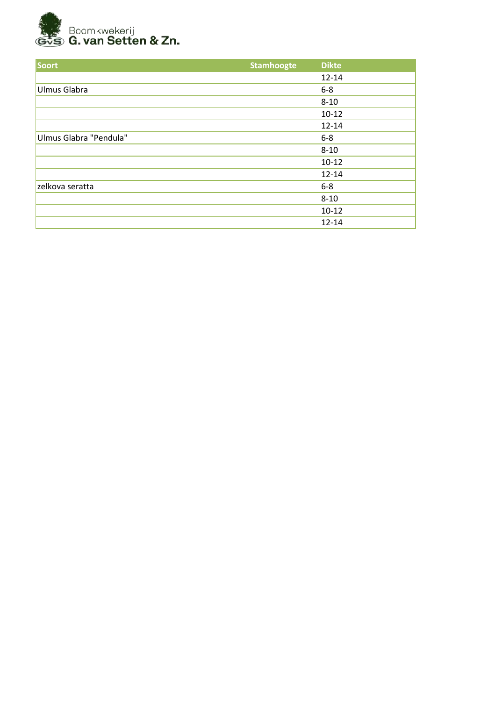

| Soort                  | <b>Stamhoogte</b> | <b>Dikte</b> |
|------------------------|-------------------|--------------|
|                        |                   | $12 - 14$    |
| Ulmus Glabra           |                   | $6-8$        |
|                        |                   | $8 - 10$     |
|                        |                   | $10 - 12$    |
|                        |                   | $12 - 14$    |
| Ulmus Glabra "Pendula" |                   | $6-8$        |
|                        |                   | $8 - 10$     |
|                        |                   | $10 - 12$    |
|                        |                   | $12 - 14$    |
| zelkova seratta        |                   | $6-8$        |
|                        |                   | $8 - 10$     |
|                        |                   | $10 - 12$    |
|                        |                   | $12 - 14$    |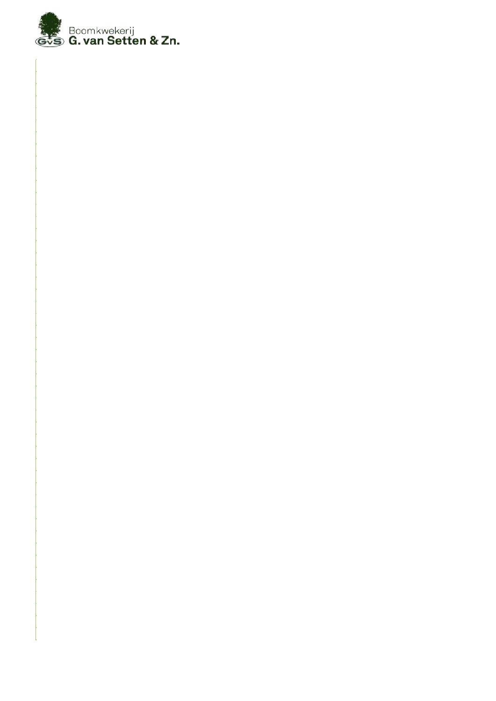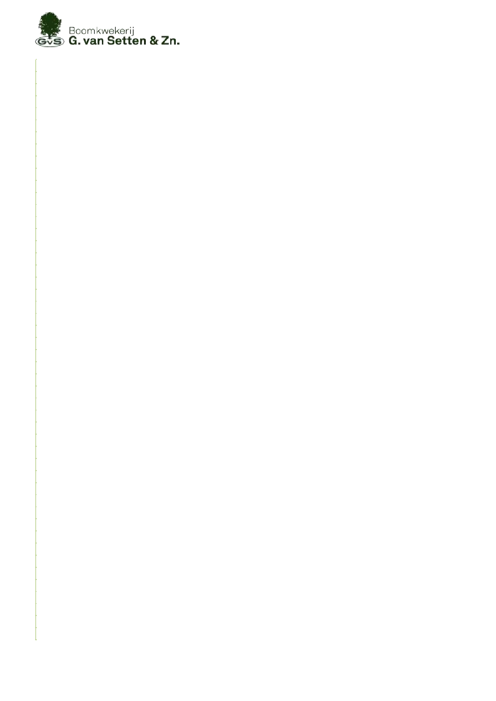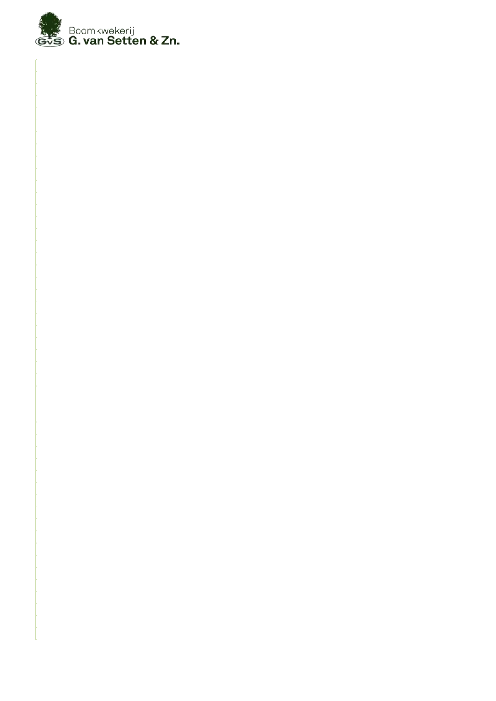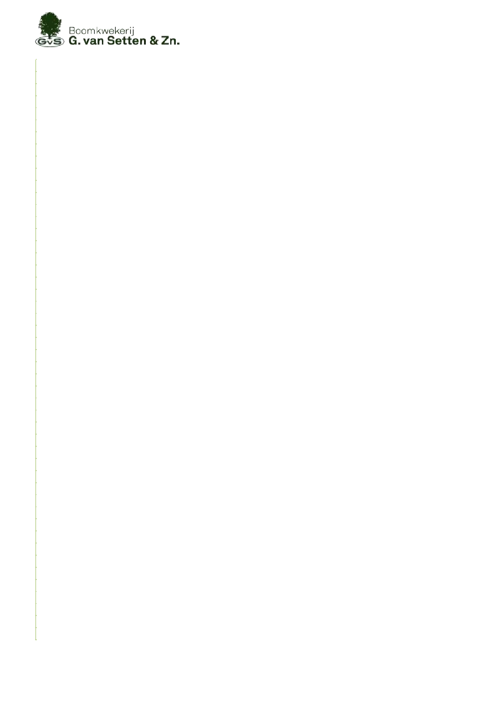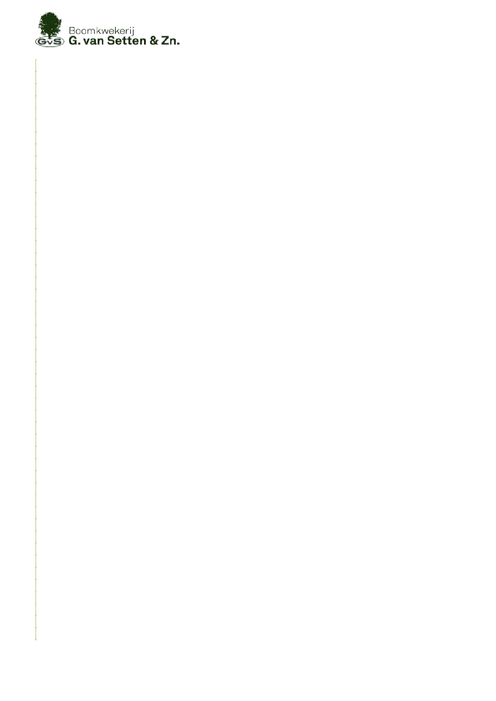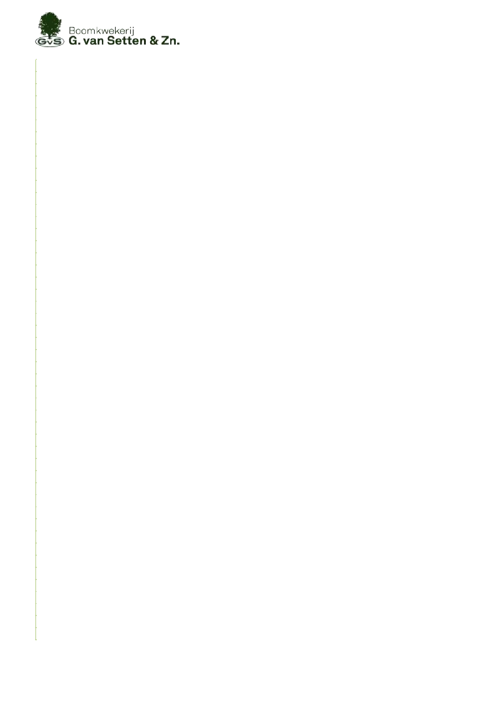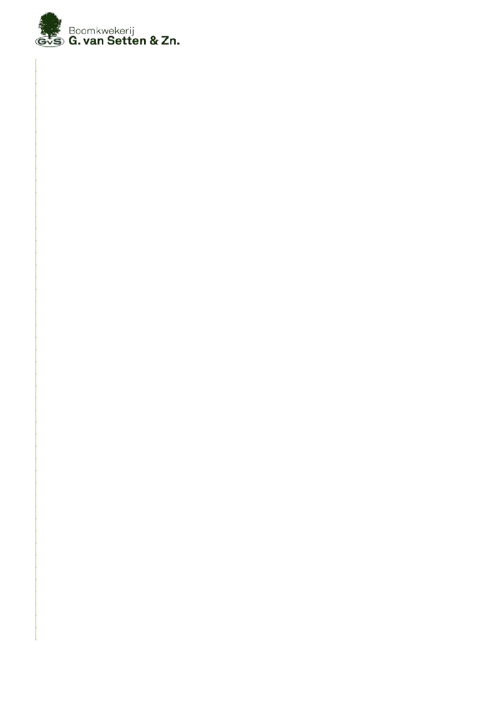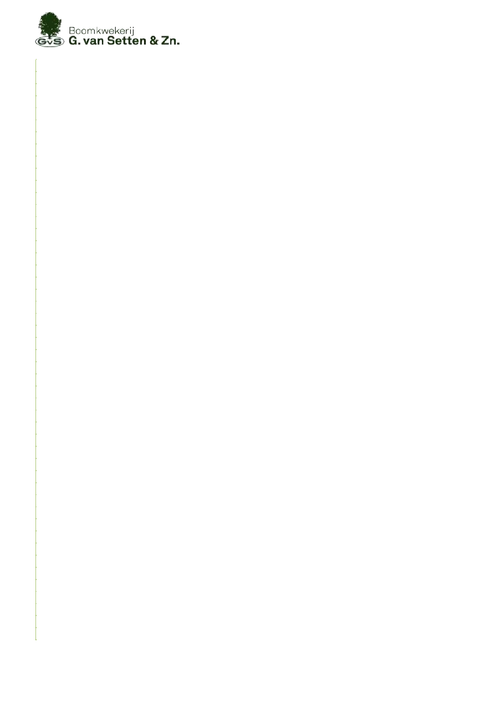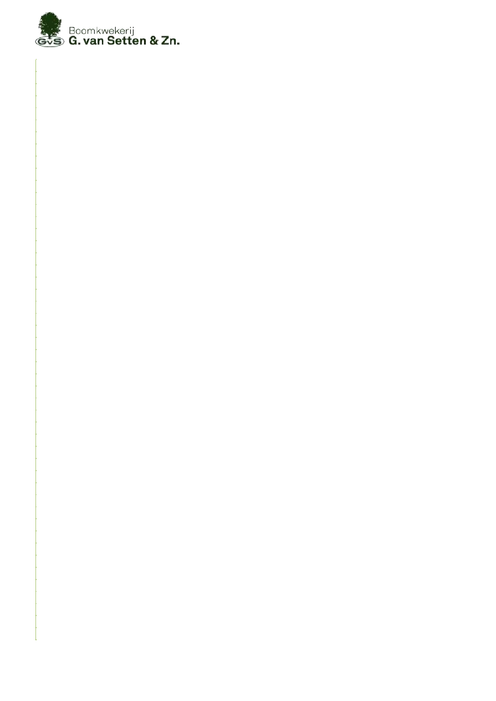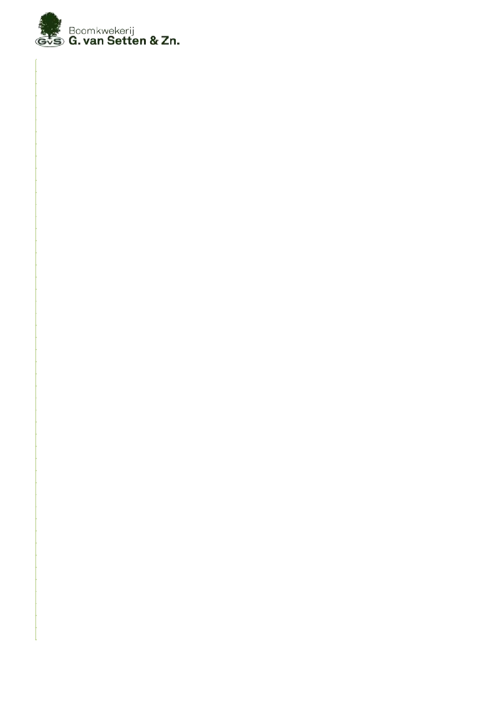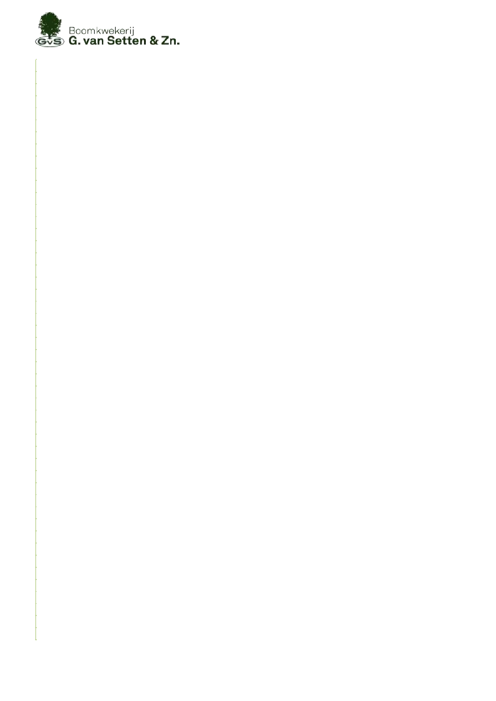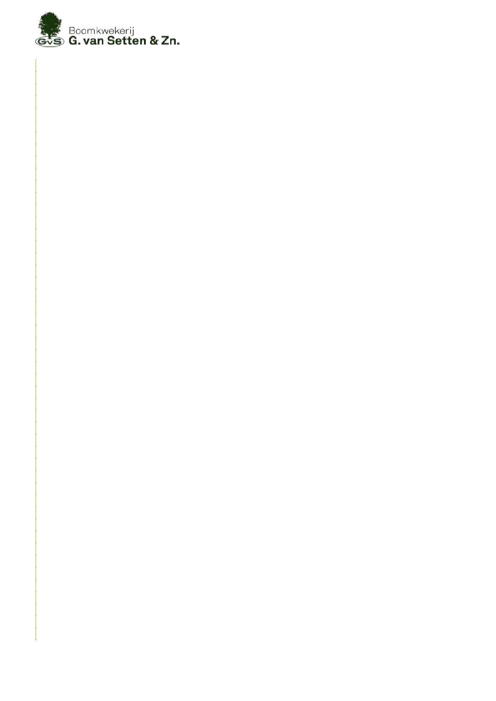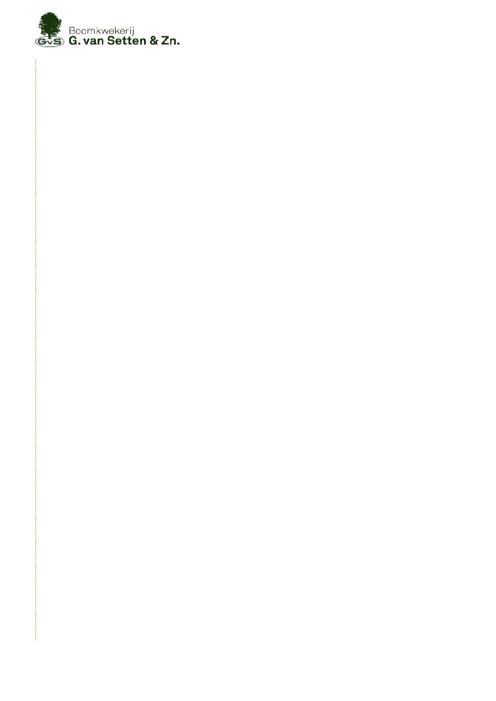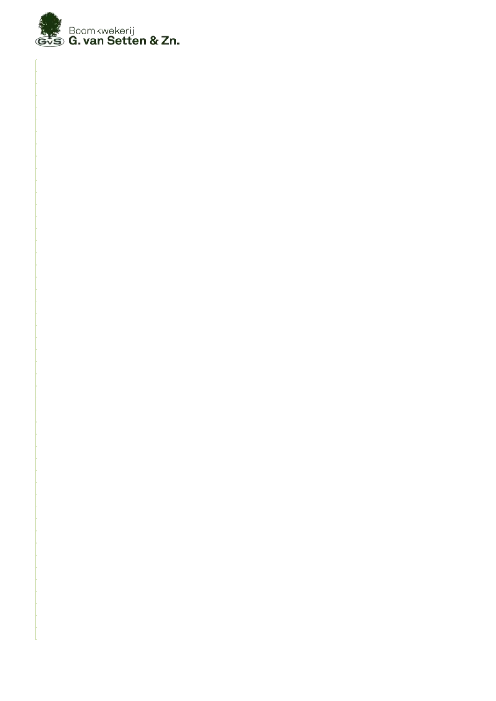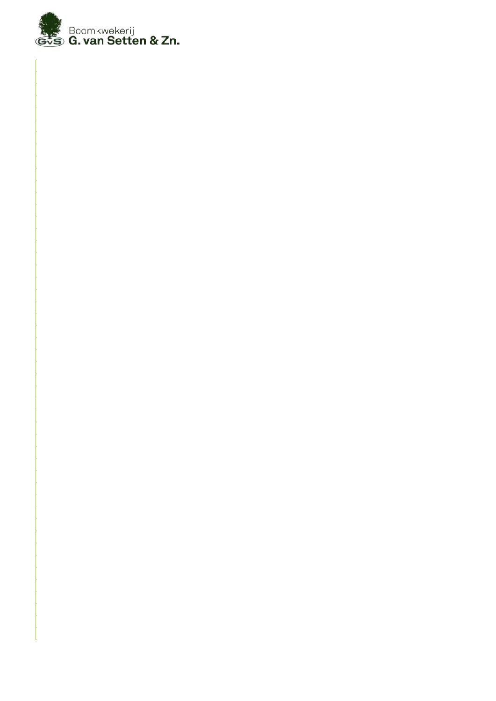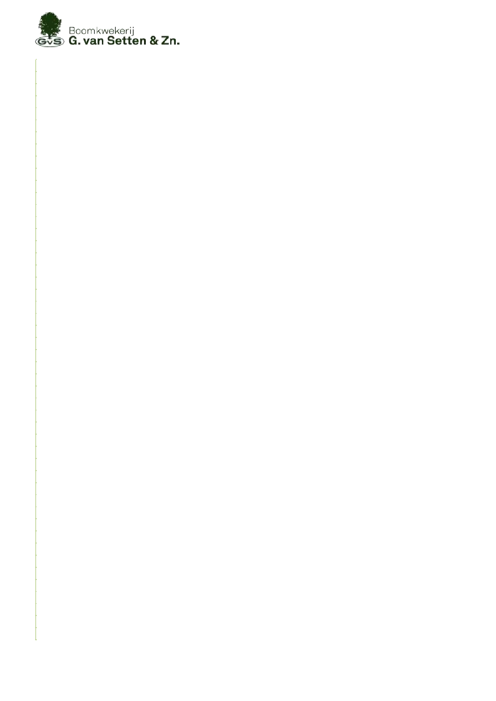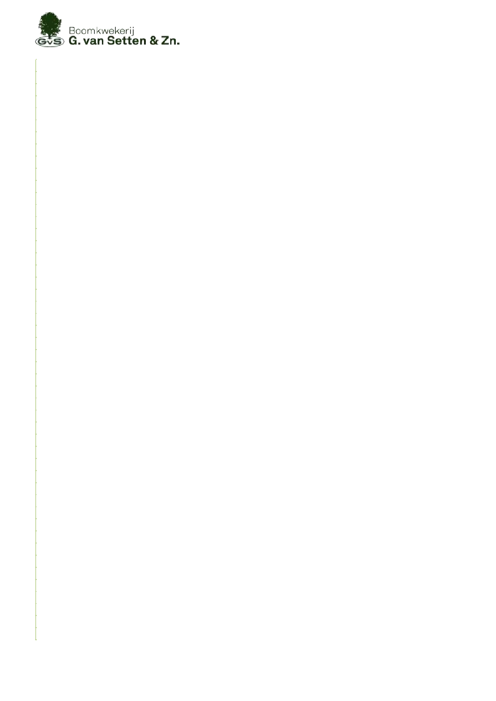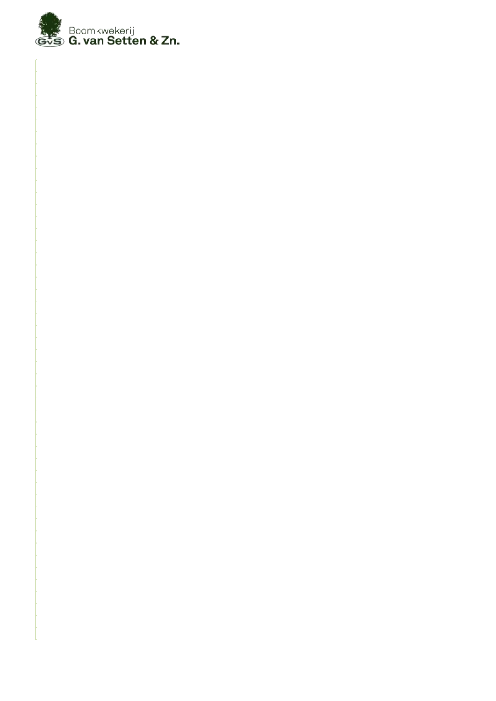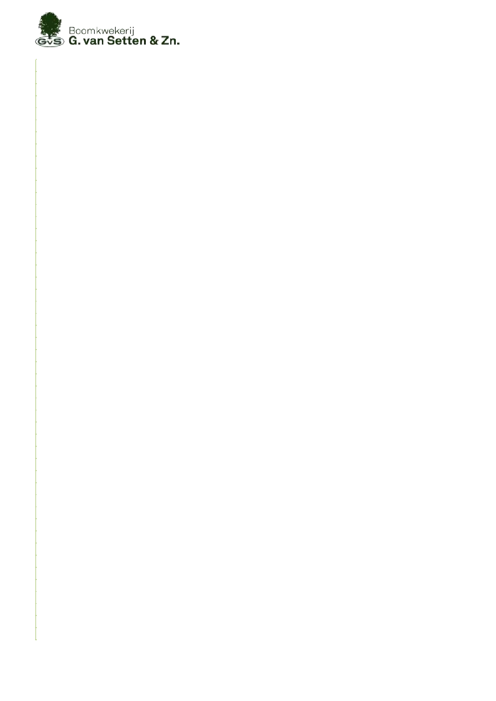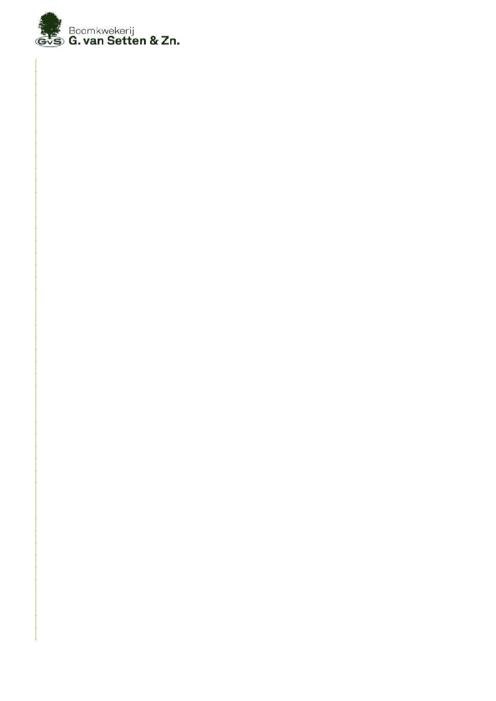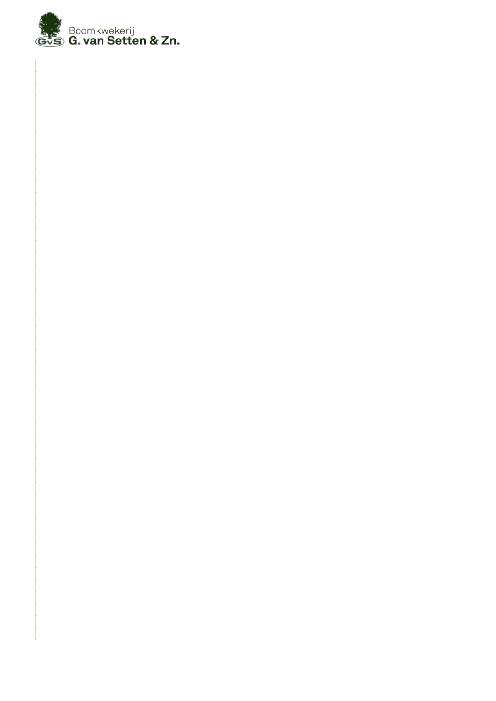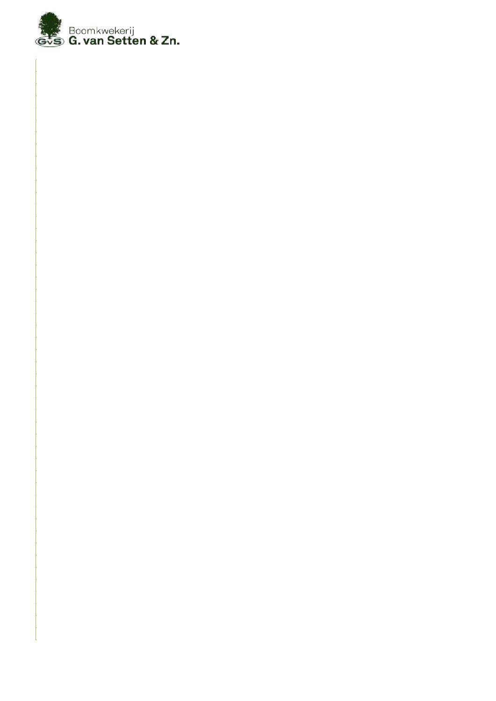